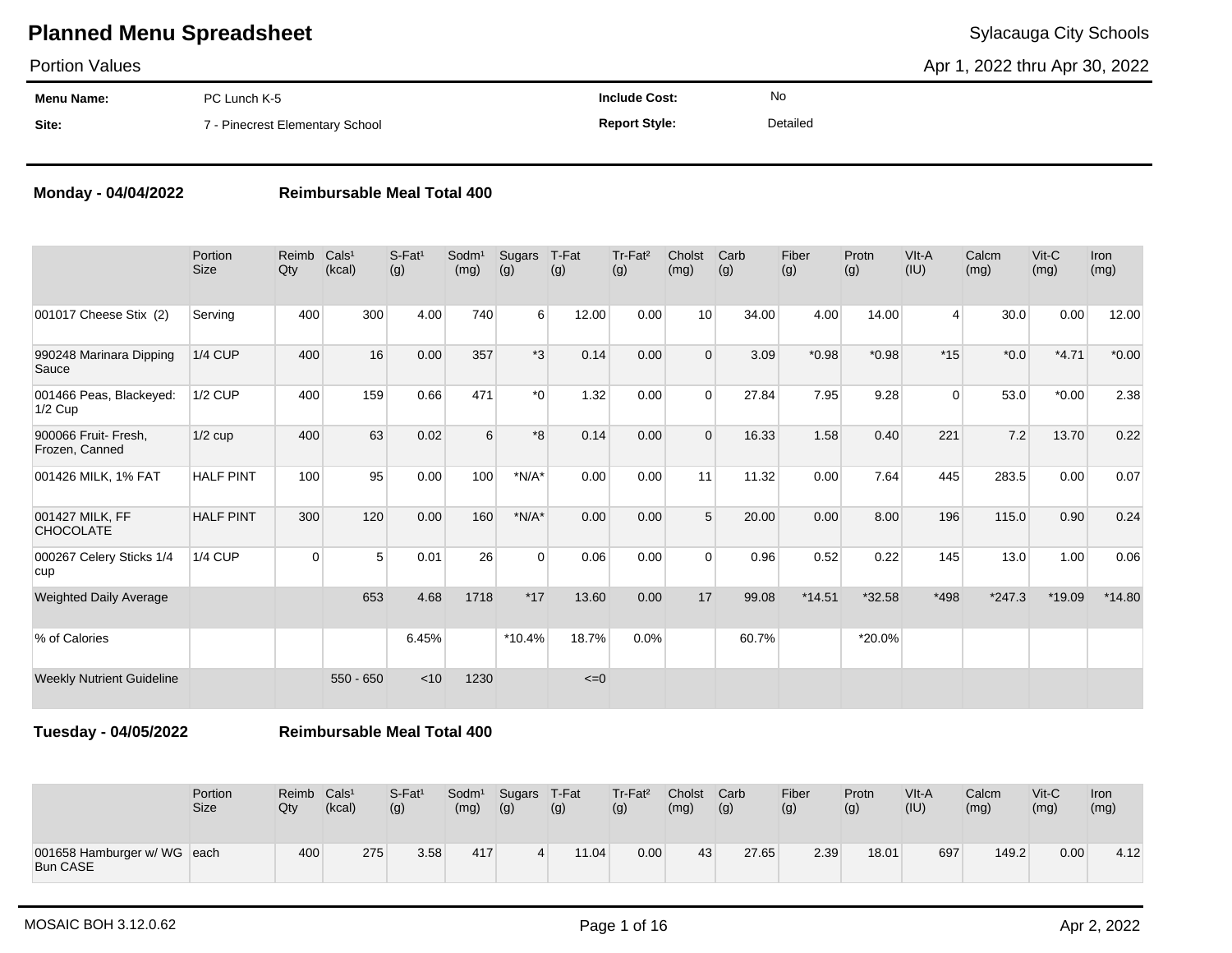Portion Values

Apr 1, 2022 thru Apr 30, 2022

| Menu Name: | PC Lunch K-5                    | <b>Include Cost:</b> | No       |
|------------|---------------------------------|----------------------|----------|
| Site:      | 7 - Pinecrest Elementary School | <b>Report Style:</b> | Detailed |

### **Monday - 04/04/2022 Reimbursable Meal Total 400**

Portion Size Reimb Cals<sup>1</sup> Qty (kcal)  $S-Fat<sup>1</sup>$ (g) Sodm<sup>1</sup> (mg) Sugars T-Fat (g) (g) Tr-Fat² (g) Cholst (mg) **Carb** (g) Fiber (g) Protn (g) VIt-A  $(IU)$ Calcm (mg) Vit-C (mg) Iron (mg) 001017 Cheese Stix (2) Serving | 400 300 4.00 740 6 12.00 0.00 10 34.00 4.00 14.00 4 30.0 0.00 12.00 990248 Marinara Dipping **Sauce** 1/4 CUP 400 16 0.00 357 \*3 0.14 0.00 0 3.09 \*0.98 \*0.98 \*15 \*0.0 \*4.71 \*0.00 001466 Peas, Blackeyed: 1/2 Cup 1/2 CUP 400 159 0.66 471 \*0 1.32 0.00 0 27.84 7.95 9.28 0 53.0 \*0.00 2.38 900066 Fruit- Fresh, Frozen, Canned 1/2 cup 400 63 0.02 6 \*8 0.14 0.00 0 16.33 1.58 0.40 221 7.2 13.70 0.22 001426 MILK, 1% FAT HALF PINT | 100 95 0.00 100 \*N/A\* 0.00 0.00 11 11.32 0.00 7.64 445 283.5 0.00 0.07 001427 MILK, FF **CHOCOLATE** HALF PINT 300 120 0.00 160 \*N/A\* 0.00 0.00 5 20.00 0.00 8.00 196 115.0 0.90 0.24 000267 Celery Sticks 1/4 cup 1/4 CUP 0 5 0.01 26 0 0.06 0.00 0 0.96 0.52 0.22 145 13.0 1.00 0.06 Weighted Daily Average **653 1.68 1718 \*17 13.60 0.00 17 99.08 \*14.51 \*32.58 \*498 \*247.3 \*19.09 \*14.80** % of Calories 6.45% \*10.4% 18.7% 0.0% 60.7% \*20.0% Weekly Nutrient Guideline  $550 - 650$  <10 1230 <=0

**Tuesday - 04/05/2022 Reimbursable Meal Total 400**

|                                                | Portion     | Reimb | Cals <sup>1</sup> | S-Fat <sup>1</sup> | Sodm <sup>1</sup> | Sugars | T-Fat | Tr-Fat <sup>2</sup> | Cholst | Carb  | Fiber | Protn | $V$ lt-A | Calcm | $V$ it-C | <b>Iron</b> |
|------------------------------------------------|-------------|-------|-------------------|--------------------|-------------------|--------|-------|---------------------|--------|-------|-------|-------|----------|-------|----------|-------------|
|                                                | <b>Size</b> | Qty   | (kcal)            | (g)                | (mg)              | (g)    | (g)   | (g)                 | (mg)   | (g)   | (g)   | (g)   | (IU)     | (mg)  | (mg)     | (mg)        |
| 001658 Hamburger w/ WG each<br><b>Bun CASE</b> |             | 400   | 275               | 3.58               | 417               |        | 11.04 | 0.00                | 43     | 27.65 | 2.39  | 18.01 | 697      | 149.2 | 0.00     | 4.12        |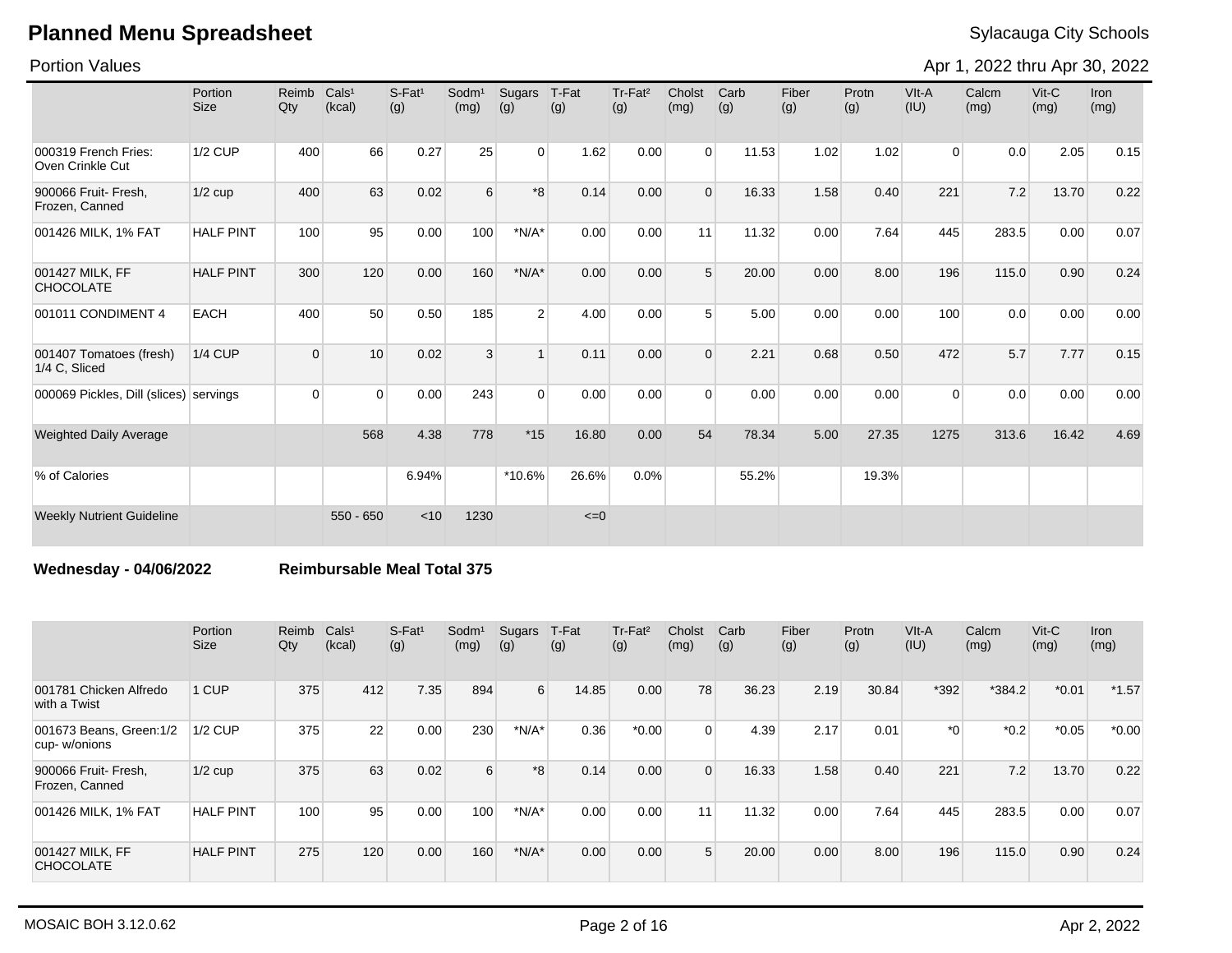Portion Values

Apr 1, 2022 thru Apr 30, 2022

|                                          | Portion<br><b>Size</b> | Reimb<br>Qty | Cals <sup>1</sup><br>(kcal) | $S$ -Fat <sup>1</sup><br>(g) | $S$ odm $1$<br>(mg) | Sugars<br>(g)  | T-Fat<br>(g) | Tr-Fat <sup>2</sup><br>(g) | Cholst<br>(mg) | Carb<br>(g) | Fiber<br>(g) | Protn<br>(g) | VIt-A<br>(IU)  | Calcm<br>(mg) | Vit-C<br>(mg) | Iron<br>(mg) |
|------------------------------------------|------------------------|--------------|-----------------------------|------------------------------|---------------------|----------------|--------------|----------------------------|----------------|-------------|--------------|--------------|----------------|---------------|---------------|--------------|
| 000319 French Fries:<br>Oven Crinkle Cut | <b>1/2 CUP</b>         | 400          | 66                          | 0.27                         | 25                  | $\overline{0}$ | 1.62         | 0.00                       | $\Omega$       | 11.53       | 1.02         | 1.02         | $\overline{0}$ | 0.0           | 2.05          | 0.15         |
| 900066 Fruit- Fresh,<br>Frozen, Canned   | $1/2$ cup              | 400          | 63                          | 0.02                         | 6                   | $*8$           | 0.14         | 0.00                       | $\Omega$       | 16.33       | 1.58         | 0.40         | 221            | 7.2           | 13.70         | 0.22         |
| 001426 MILK, 1% FAT                      | <b>HALF PINT</b>       | 100          | 95                          | 0.00                         | 100                 | $*N/A*$        | 0.00         | 0.00                       | 11             | 11.32       | 0.00         | 7.64         | 445            | 283.5         | 0.00          | 0.07         |
| 001427 MILK, FF<br><b>CHOCOLATE</b>      | <b>HALF PINT</b>       | 300          | 120                         | 0.00                         | 160                 | $*N/A*$        | 0.00         | 0.00                       | 5 <sup>5</sup> | 20.00       | 0.00         | 8.00         | 196            | 115.0         | 0.90          | 0.24         |
| 001011 CONDIMENT 4                       | <b>EACH</b>            | 400          | 50                          | 0.50                         | 185                 | 2 <sup>1</sup> | 4.00         | 0.00                       | 5              | 5.00        | 0.00         | 0.00         | 100            | 0.0           | 0.00          | 0.00         |
| 001407 Tomatoes (fresh)<br>1/4 C. Sliced | <b>1/4 CUP</b>         | $\Omega$     | 10                          | 0.02                         | 3                   | $\mathbf{1}$   | 0.11         | 0.00                       | $\Omega$       | 2.21        | 0.68         | 0.50         | 472            | 5.7           | 7.77          | 0.15         |
| 000069 Pickles, Dill (slices) servings   |                        | $\Omega$     | $\Omega$                    | 0.00                         | 243                 | $\Omega$       | 0.00         | 0.00                       | $\Omega$       | 0.00        | 0.00         | 0.00         | $\Omega$       | 0.0           | 0.00          | 0.00         |
| <b>Weighted Daily Average</b>            |                        |              | 568                         | 4.38                         | 778                 | $*15$          | 16.80        | 0.00                       | 54             | 78.34       | 5.00         | 27.35        | 1275           | 313.6         | 16.42         | 4.69         |
| % of Calories                            |                        |              |                             | 6.94%                        |                     | *10.6%         | 26.6%        | 0.0%                       |                | 55.2%       |              | 19.3%        |                |               |               |              |
| <b>Weekly Nutrient Guideline</b>         |                        |              | $550 - 650$                 | < 10                         | 1230                |                | $\leq=0$     |                            |                |             |              |              |                |               |               |              |

**Wednesday - 04/06/2022 Reimbursable Meal Total 375**

|                                          | Portion<br><b>Size</b> | Reimb<br>Qty | Cals <sup>1</sup><br>(kcal) | $S-Fat1$<br>(g) | Sodm <sup>1</sup><br>(mg) | Sugars<br>(g) | T-Fat<br>(g) | Tr-Fat <sup>2</sup><br>(g) | Cholst<br>(mg) | Carb<br>(g) | Fiber<br>(g) | Protn<br>(g) | VIt-A<br>(IU) | Calcm<br>(mg) | $Vit-C$<br>(mg) | Iron<br>(mg) |
|------------------------------------------|------------------------|--------------|-----------------------------|-----------------|---------------------------|---------------|--------------|----------------------------|----------------|-------------|--------------|--------------|---------------|---------------|-----------------|--------------|
| 001781 Chicken Alfredo<br>with a Twist   | 1 CUP                  | 375          | 412                         | 7.35            | 894                       | $6 \mid$      | 14.85        | 0.00                       | 78             | 36.23       | 2.19         | 30.84        | *392          | $*384.2$      | $*0.01$         | $*1.57$      |
| 001673 Beans, Green: 1/2<br>cup-w/onions | $1/2$ CUP              | 375          | 22                          | 0.00            | 230                       | $*N/A*$       | 0.36         | $*0.00$                    | 0              | 4.39        | 2.17         | 0.01         | $*_{0}$       | $*0.2$        | $*0.05$         | $*0.00$      |
| 900066 Fruit- Fresh,<br>Frozen, Canned   | $1/2$ cup              | 375          | 63                          | 0.02            | 6                         | $*8$          | 0.14         | 0.00                       | $\Omega$       | 16.33       | 1.58         | 0.40         | 221           | 7.2           | 13.70           | 0.22         |
| 001426 MILK, 1% FAT                      | <b>HALF PINT</b>       | 100          | 95                          | 0.00            | 100                       | $*N/A*$       | 0.00         | 0.00                       | 11             | 11.32       | 0.00         | 7.64         | 445           | 283.5         | 0.00            | 0.07         |
| 001427 MILK, FF<br><b>CHOCOLATE</b>      | <b>HALF PINT</b>       | 275          | 120                         | 0.00            | 160                       | $*N/A*$       | 0.00         | 0.00                       | 5              | 20.00       | 0.00         | 8.00         | 196           | 115.0         | 0.90            | 0.24         |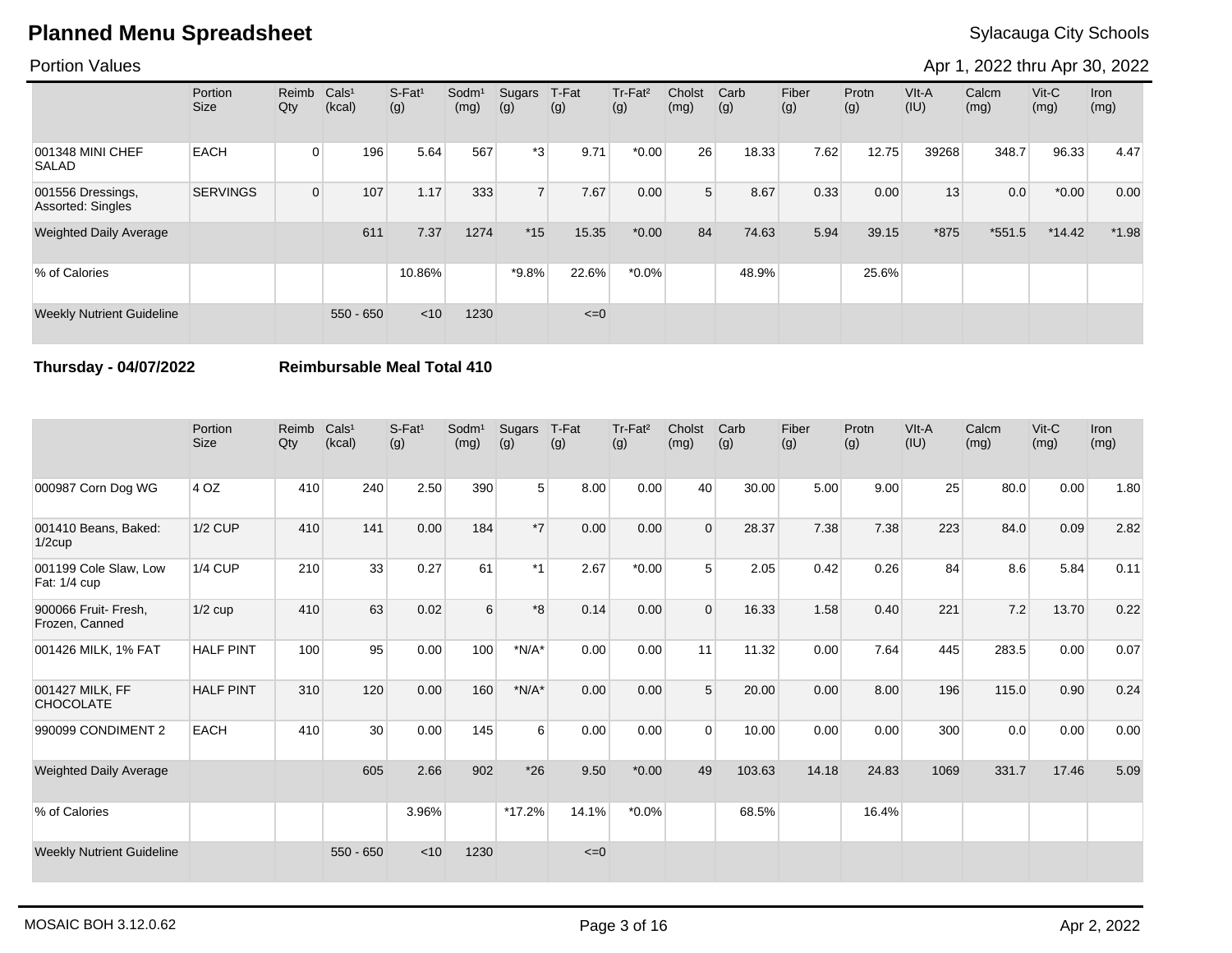### Portion Values

Apr 1, 2022 thru Apr 30, 2022

|                                        | Portion<br>Size | Reimb<br>Qty   | CalS <sup>1</sup><br>(kcal) | S-Fat <sup>1</sup><br>(g) | Sodm <sup>1</sup><br>(mg) | Sugars<br>(g)  | T-Fat<br>(g) | Tr-Fat <sup>2</sup><br>(g) | Cholst<br>(mg) | Carb<br>(g) | Fiber<br>(g) | Protn<br>(g) | $V$ lt-A<br>(IU) | Calcm<br>(mg) | $V$ it-C<br>(mg) | Iron<br>(mg) |
|----------------------------------------|-----------------|----------------|-----------------------------|---------------------------|---------------------------|----------------|--------------|----------------------------|----------------|-------------|--------------|--------------|------------------|---------------|------------------|--------------|
| 001348 MINI CHEF<br><b>SALAD</b>       | <b>EACH</b>     | 0              | 196                         | 5.64                      | 567                       | $*3$           | 9.71         | $*0.00$                    | 26             | 18.33       | 7.62         | 12.75        | 39268            | 348.7         | 96.33            | 4.47         |
| 001556 Dressings,<br>Assorted: Singles | <b>SERVINGS</b> | $\overline{0}$ | 107                         | 1.17                      | 333                       | $\overline{7}$ | 7.67         | 0.00                       | 5 <sup>1</sup> | 8.67        | 0.33         | 0.00         | 13               | 0.0           | $*0.00$          | 0.00         |
| <b>Weighted Daily Average</b>          |                 |                | 611                         | 7.37                      | 1274                      | $*15$          | 15.35        | $*0.00$                    | 84             | 74.63       | 5.94         | 39.15        | *875             | $*551.5$      | $*14.42$         | $*1.98$      |
| % of Calories                          |                 |                |                             | 10.86%                    |                           | *9.8%          | 22.6%        | $*0.0\%$                   |                | 48.9%       |              | 25.6%        |                  |               |                  |              |
| <b>Weekly Nutrient Guideline</b>       |                 |                | $550 - 650$                 | < 10                      | 1230                      |                | $\leq=0$     |                            |                |             |              |              |                  |               |                  |              |

**Thursday - 04/07/2022 Reimbursable Meal Total 410**

|                                        | Portion<br><b>Size</b> | Reimb<br>Qty | Cals <sup>1</sup><br>(kcal) | $S-Fat1$<br>(g) | Sodm <sup>1</sup><br>(mg) | Sugars<br>(g)  | T-Fat<br>(g) | Tr-Fat <sup>2</sup><br>(g) | Cholst<br>(mg) | Carb<br>(g) | Fiber<br>(g) | Protn<br>(g) | VIt-A<br>(IU) | Calcm<br>(mg) | $V$ it-C<br>(mg) | <b>Iron</b><br>(mg) |
|----------------------------------------|------------------------|--------------|-----------------------------|-----------------|---------------------------|----------------|--------------|----------------------------|----------------|-------------|--------------|--------------|---------------|---------------|------------------|---------------------|
| 000987 Corn Dog WG                     | 4 OZ                   | 410          | 240                         | 2.50            | 390                       | 5 <sup>1</sup> | 8.00         | 0.00                       | 40             | 30.00       | 5.00         | 9.00         | 25            | 80.0          | 0.00             | 1.80                |
| 001410 Beans, Baked:<br>$1/2$ cup      | <b>1/2 CUP</b>         | 410          | 141                         | 0.00            | 184                       | $*7$           | 0.00         | 0.00                       | $\Omega$       | 28.37       | 7.38         | 7.38         | 223           | 84.0          | 0.09             | 2.82                |
| 001199 Cole Slaw, Low<br>Fat: 1/4 cup  | <b>1/4 CUP</b>         | 210          | 33                          | 0.27            | 61                        | $*1$           | 2.67         | $*0.00$                    | 5              | 2.05        | 0.42         | 0.26         | 84            | 8.6           | 5.84             | 0.11                |
| 900066 Fruit- Fresh,<br>Frozen, Canned | $1/2$ cup              | 410          | 63                          | 0.02            | 6                         | *8             | 0.14         | 0.00                       | $\Omega$       | 16.33       | 1.58         | 0.40         | 221           | 7.2           | 13.70            | 0.22                |
| 001426 MILK, 1% FAT                    | <b>HALF PINT</b>       | 100          | 95                          | 0.00            | 100                       | $*N/A*$        | 0.00         | 0.00                       | 11             | 11.32       | 0.00         | 7.64         | 445           | 283.5         | 0.00             | 0.07                |
| 001427 MILK, FF<br><b>CHOCOLATE</b>    | <b>HALF PINT</b>       | 310          | 120                         | 0.00            | 160                       | $*N/A*$        | 0.00         | 0.00                       | 5              | 20.00       | 0.00         | 8.00         | 196           | 115.0         | 0.90             | 0.24                |
| 990099 CONDIMENT 2                     | <b>EACH</b>            | 410          | 30 <sup>°</sup>             | 0.00            | 145                       | 6              | 0.00         | 0.00                       | $\Omega$       | 10.00       | 0.00         | 0.00         | 300           | 0.0           | 0.00             | 0.00                |
| <b>Weighted Daily Average</b>          |                        |              | 605                         | 2.66            | 902                       | $*26$          | 9.50         | $*0.00$                    | 49             | 103.63      | 14.18        | 24.83        | 1069          | 331.7         | 17.46            | 5.09                |
| % of Calories                          |                        |              |                             | 3.96%           |                           | *17.2%         | 14.1%        | $*0.0\%$                   |                | 68.5%       |              | 16.4%        |               |               |                  |                     |
| <b>Weekly Nutrient Guideline</b>       |                        |              | $550 - 650$                 | < 10            | 1230                      |                | $\leq=0$     |                            |                |             |              |              |               |               |                  |                     |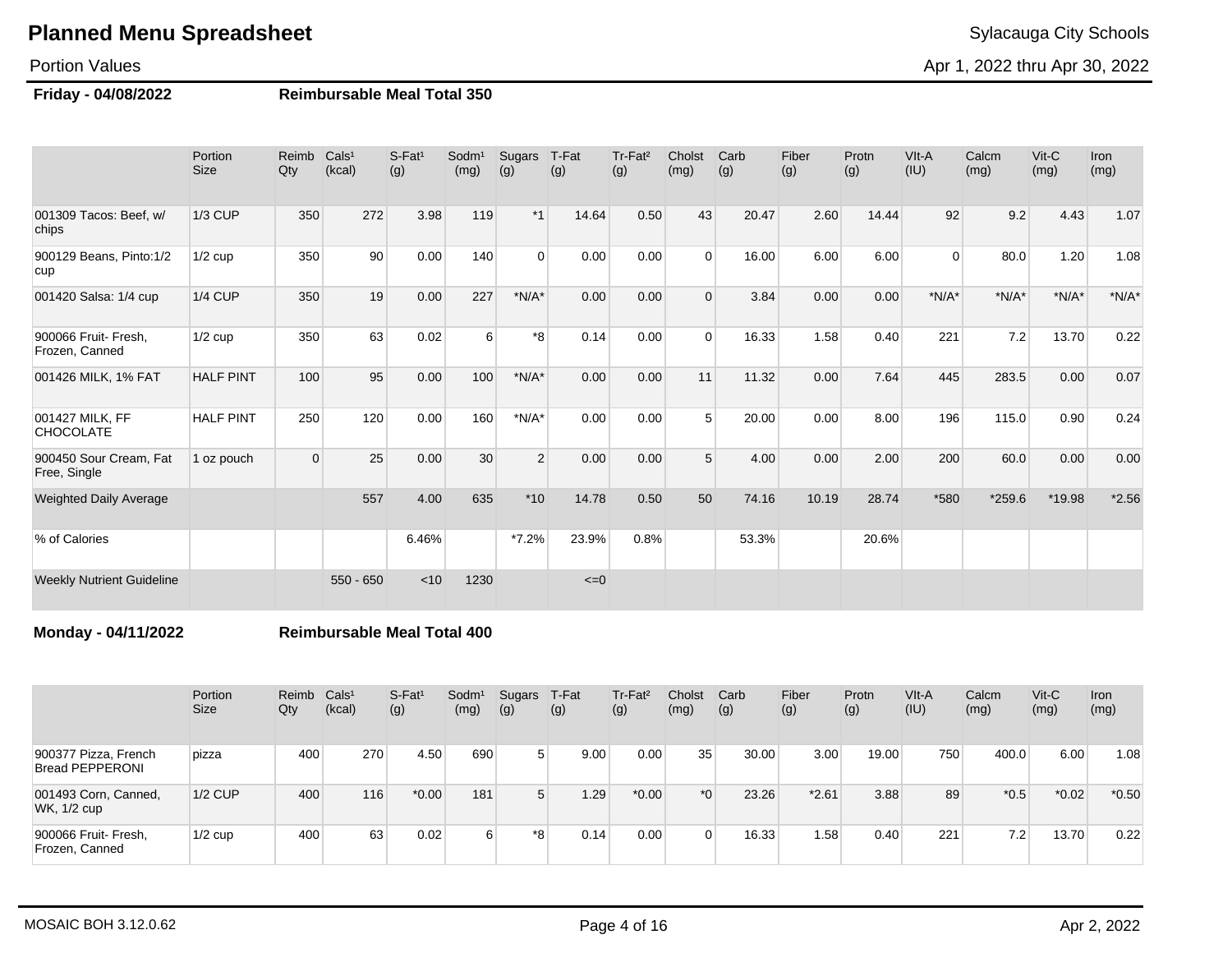Portion Values

Apr 1, 2022 thru Apr 30, 2022

### **Friday - 04/08/2022 Reimbursable Meal Total 350**

|                                        | Portion<br><b>Size</b> | Reimb<br>Qty | Cals <sup>1</sup><br>(kcal) | $S-Fat1$<br>(g) | Sodm <sup>1</sup><br>(mg) | Sugars<br>(g)  | T-Fat<br>(g) | Tr-Fat <sup>2</sup><br>(g) | Cholst<br>(mg) | Carb<br>(g) | Fiber<br>(g) | Protn<br>(g) | VIt-A<br>(IU) | Calcm<br>(mg) | $V$ it-C<br>(mg) | Iron<br>(mg) |
|----------------------------------------|------------------------|--------------|-----------------------------|-----------------|---------------------------|----------------|--------------|----------------------------|----------------|-------------|--------------|--------------|---------------|---------------|------------------|--------------|
| 001309 Tacos: Beef, w/<br>chips        | <b>1/3 CUP</b>         | 350          | 272                         | 3.98            | 119                       | $*1$           | 14.64        | 0.50                       | 43             | 20.47       | 2.60         | 14.44        | 92            | 9.2           | 4.43             | 1.07         |
| 900129 Beans, Pinto:1/2<br>cup         | $1/2$ cup              | 350          | 90 <sup>°</sup>             | 0.00            | 140                       | $\Omega$       | 0.00         | 0.00                       | $\Omega$       | 16.00       | 6.00         | 6.00         | $\Omega$      | 80.0          | 1.20             | 1.08         |
| 001420 Salsa: 1/4 cup                  | <b>1/4 CUP</b>         | 350          | 19                          | 0.00            | 227                       | $*N/A*$        | 0.00         | 0.00                       | $\Omega$       | 3.84        | 0.00         | 0.00         | $*N/A*$       | $*N/A*$       | $*N/A*$          | $*N/A*$      |
| 900066 Fruit- Fresh.<br>Frozen, Canned | $1/2$ cup              | 350          | 63                          | 0.02            | 6                         | *8             | 0.14         | 0.00                       | $\Omega$       | 16.33       | 1.58         | 0.40         | 221           | 7.2           | 13.70            | 0.22         |
| 001426 MILK, 1% FAT                    | <b>HALF PINT</b>       | 100          | 95                          | 0.00            | 100                       | $*N/A*$        | 0.00         | 0.00                       | 11             | 11.32       | 0.00         | 7.64         | 445           | 283.5         | 0.00             | 0.07         |
| 001427 MILK, FF<br><b>CHOCOLATE</b>    | <b>HALF PINT</b>       | 250          | 120                         | 0.00            | 160                       | $*N/A*$        | 0.00         | 0.00                       | 5              | 20.00       | 0.00         | 8.00         | 196           | 115.0         | 0.90             | 0.24         |
| 900450 Sour Cream, Fat<br>Free, Single | 1 oz pouch             | $\Omega$     | 25                          | 0.00            | 30                        | $\overline{2}$ | 0.00         | 0.00                       | 5              | 4.00        | 0.00         | 2.00         | 200           | 60.0          | 0.00             | 0.00         |
| <b>Weighted Daily Average</b>          |                        |              | 557                         | 4.00            | 635                       | $*10$          | 14.78        | 0.50                       | 50             | 74.16       | 10.19        | 28.74        | *580          | $*259.6$      | *19.98           | $*2.56$      |
| % of Calories                          |                        |              |                             | 6.46%           |                           | $*7.2\%$       | 23.9%        | 0.8%                       |                | 53.3%       |              | 20.6%        |               |               |                  |              |
| <b>Weekly Nutrient Guideline</b>       |                        |              | $550 - 650$                 | < 10            | 1230                      |                | $\leq=0$     |                            |                |             |              |              |               |               |                  |              |

**Monday - 04/11/2022 Reimbursable Meal Total 400**

|                                                | Portion<br><b>Size</b> | Reimb<br>Qty | Cals <sup>1</sup><br>(kcal) | $S$ -Fat <sup>1</sup><br>(g) | Sodm <sup>1</sup><br>(mg) | Sugars<br>(g) | T-Fat<br>(g) | Tr-Fat <sup>2</sup><br>(g) | Cholst<br>(mg) | Carb<br>(g) | Fiber<br>(g) | Protn<br>(g) | VIt-A<br>(IU) | Calcm<br>(mg) | $V$ it-C<br>(mg) | <b>Iron</b><br>(mg) |
|------------------------------------------------|------------------------|--------------|-----------------------------|------------------------------|---------------------------|---------------|--------------|----------------------------|----------------|-------------|--------------|--------------|---------------|---------------|------------------|---------------------|
| 900377 Pizza, French<br><b>Bread PEPPERONI</b> | pizza                  | 400          | 270                         | 4.50                         | 690                       | 5             | 9.00         | 0.00                       | 35             | 30.00       | 3.00         | 19.00        | 750           | 400.0         | 6.00             | 1.08                |
| 001493 Corn, Canned,<br>WK, 1/2 cup            | $1/2$ CUP              | 400          | 116                         | $*0.00$                      | 181                       | 5             | 1.29         | $*0.00$                    | $*_{0}$        | 23.26       | $*2.61$      | 3.88         | 89            | $*0.5$        | $*0.02$          | $*0.50$             |
| 900066 Fruit- Fresh,<br>Frozen, Canned         | $1/2$ cup              | 400          | 63                          | 0.02                         | 6                         | *8            | 0.14         | 0.00                       | 0              | 16.33       | 1.58         | 0.40         | 221           | 7.2           | 13.70            | 0.22                |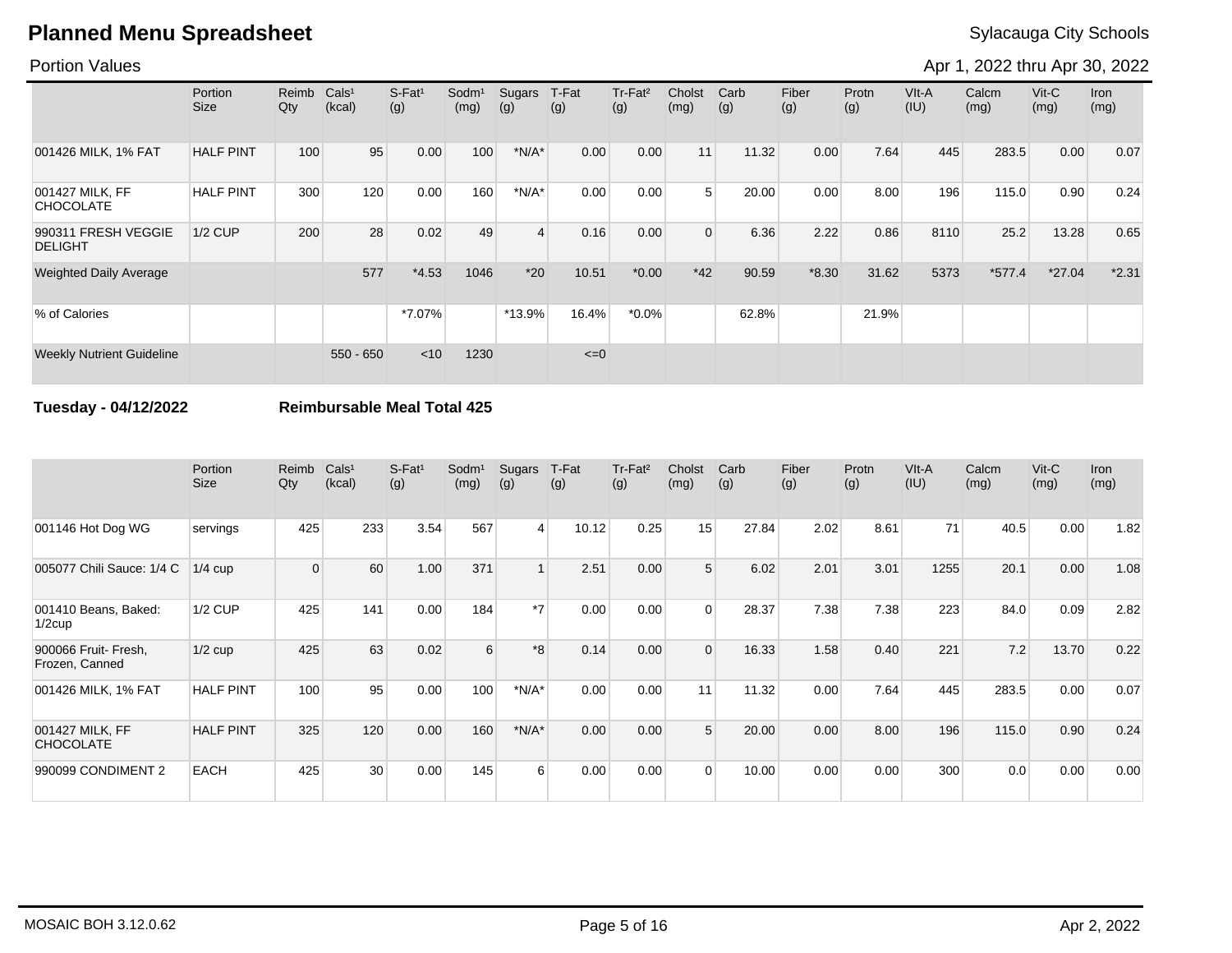Portion Values

Apr 1, 2022 thru Apr 30, 2022

|                                       | Portion<br>Size  | Reimb<br>Qty | Cals <sup>1</sup><br>(kcal) | S-Fat <sup>1</sup><br>(g) | Sodm <sup>1</sup><br>(mg) | Sugars<br>(g) | T-Fat<br>(g) | Tr-Fat <sup>2</sup><br>(g) | Cholst<br>(mg) | Carb<br>(g) | Fiber<br>(g) | Protn<br>(g) | VIt-A<br>(IU) | Calcm<br>(mg) | $V$ it-C<br>(mg) | Iron<br>(mg) |
|---------------------------------------|------------------|--------------|-----------------------------|---------------------------|---------------------------|---------------|--------------|----------------------------|----------------|-------------|--------------|--------------|---------------|---------------|------------------|--------------|
| 001426 MILK, 1% FAT                   | <b>HALF PINT</b> | 100          | 95                          | 0.00                      | 100                       | $*N/A*$       | 0.00         | 0.00                       | 11             | 11.32       | 0.00         | 7.64         | 445           | 283.5         | 0.00             | 0.07         |
| 001427 MILK, FF<br><b>CHOCOLATE</b>   | <b>HALF PINT</b> | 300          | 120                         | 0.00                      | 160                       | $*N/A*$       | 0.00         | 0.00                       | 5              | 20.00       | 0.00         | 8.00         | 196           | 115.0         | 0.90             | 0.24         |
| 990311 FRESH VEGGIE<br><b>DELIGHT</b> | <b>1/2 CUP</b>   | 200          | 28                          | 0.02                      | 49                        | 4             | 0.16         | 0.00                       | $\Omega$       | 6.36        | 2.22         | 0.86         | 8110          | 25.2          | 13.28            | 0.65         |
| <b>Weighted Daily Average</b>         |                  |              | 577                         | $*4.53$                   | 1046                      | $*20$         | 10.51        | $*0.00$                    | $*42$          | 90.59       | $*8.30$      | 31.62        | 5373          | $*577.4$      | $*27.04$         | $*2.31$      |
| % of Calories                         |                  |              |                             | *7.07%                    |                           | $*13.9%$      | 16.4%        | $*0.0\%$                   |                | 62.8%       |              | 21.9%        |               |               |                  |              |
| <b>Weekly Nutrient Guideline</b>      |                  |              | $550 - 650$                 | < 10                      | 1230                      |               | $\leq=0$     |                            |                |             |              |              |               |               |                  |              |

### **Tuesday - 04/12/2022 Reimbursable Meal Total 425**

|                                        | Portion<br><b>Size</b> | Reimb<br>Qty | Cals <sup>1</sup><br>(kcal) | $S-Fat1$<br>(g) | Sodm <sup>1</sup><br>(mg) | Sugars<br>(g)  | T-Fat<br>(g) | Tr-Fat <sup>2</sup><br>(g) | Cholst<br>(mg) | Carb<br>(g) | Fiber<br>(g) | Protn<br>(g) | VIt-A<br>(IU) | Calcm<br>(mg) | $V$ it-C<br>(mg) | Iron<br>(mg) |
|----------------------------------------|------------------------|--------------|-----------------------------|-----------------|---------------------------|----------------|--------------|----------------------------|----------------|-------------|--------------|--------------|---------------|---------------|------------------|--------------|
| 001146 Hot Dog WG                      | servings               | 425          | 233                         | 3.54            | 567                       | $\overline{4}$ | 10.12        | 0.25                       | 15             | 27.84       | 2.02         | 8.61         | 71            | 40.5          | 0.00             | 1.82         |
| 005077 Chili Sauce: 1/4 C              | $1/4$ cup              | $\mathbf 0$  | 60                          | 1.00            | 371                       |                | 2.51         | 0.00                       | 5              | 6.02        | 2.01         | 3.01         | 1255          | 20.1          | 0.00             | 1.08         |
| 001410 Beans, Baked:<br>$1/2$ cup      | <b>1/2 CUP</b>         | 425          | 141                         | 0.00            | 184                       | $*7$           | 0.00         | 0.00                       | $\Omega$       | 28.37       | 7.38         | 7.38         | 223           | 84.0          | 0.09             | 2.82         |
| 900066 Fruit- Fresh,<br>Frozen, Canned | $1/2$ cup              | 425          | 63                          | 0.02            | 6                         | *8             | 0.14         | 0.00                       | $\Omega$       | 16.33       | 1.58         | 0.40         | 221           | 7.2           | 13.70            | 0.22         |
| 001426 MILK, 1% FAT                    | <b>HALF PINT</b>       | 100          | 95                          | 0.00            | 100                       | $*N/A*$        | 0.00         | 0.00                       | 11             | 11.32       | 0.00         | 7.64         | 445           | 283.5         | 0.00             | 0.07         |
| 001427 MILK, FF<br><b>CHOCOLATE</b>    | <b>HALF PINT</b>       | 325          | 120                         | 0.00            | 160                       | $*N/A*$        | 0.00         | 0.00                       | 5              | 20.00       | 0.00         | 8.00         | 196           | 115.0         | 0.90             | 0.24         |
| 990099 CONDIMENT 2                     | <b>EACH</b>            | 425          | 30 <sup>°</sup>             | 0.00            | 145                       | 6              | 0.00         | 0.00                       | $\Omega$       | 10.00       | 0.00         | 0.00         | 300           | 0.0           | 0.00             | 0.00         |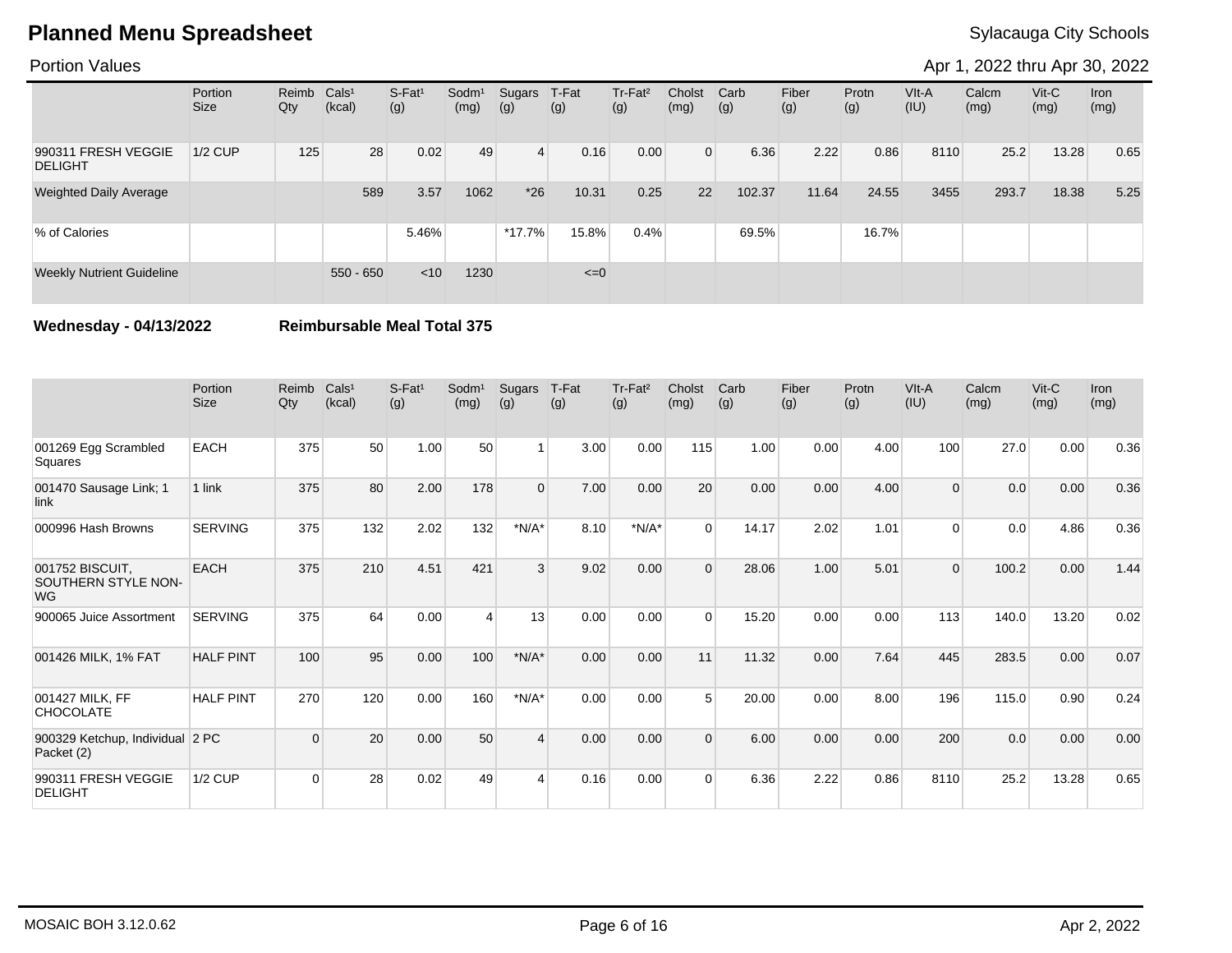Portion Values

Apr 1, 2022 thru Apr 30, 2022

|                                       | Portion<br>Size | Reimb Cals <sup>1</sup><br>Qty | (kcal)      | $S-Fat1$<br>(g) | Sodm <sup>1</sup><br>(mg) | Sugars<br>(g)  | T-Fat<br>(g) | Tr-Fat <sup>2</sup><br>(g) | Cholst<br>(mg) | Carb<br>(g) | Fiber<br>(g) | Protn<br>(g) | $V$ lt-A<br>(IU) | Calcm<br>(mg) | $V$ it-C<br>(mg) | <b>Iron</b><br>(mg) |
|---------------------------------------|-----------------|--------------------------------|-------------|-----------------|---------------------------|----------------|--------------|----------------------------|----------------|-------------|--------------|--------------|------------------|---------------|------------------|---------------------|
| 990311 FRESH VEGGIE<br><b>DELIGHT</b> | $1/2$ CUP       | 125                            | 28          | 0.02            | 49                        | $\overline{4}$ | 0.16         | 0.00                       | $\Omega$       | 6.36        | 2.22         | 0.86         | 8110             | 25.2          | 13.28            | 0.65                |
| <b>Weighted Daily Average</b>         |                 |                                | 589         | 3.57            | 1062                      | $*26$          | 10.31        | 0.25                       | 22             | 102.37      | 11.64        | 24.55        | 3455             | 293.7         | 18.38            | 5.25                |
| % of Calories                         |                 |                                |             | 5.46%           |                           | $*17.7%$       | 15.8%        | 0.4%                       |                | 69.5%       |              | 16.7%        |                  |               |                  |                     |
| <b>Weekly Nutrient Guideline</b>      |                 |                                | $550 - 650$ | < 10            | 1230                      |                | $\leq=0$     |                            |                |             |              |              |                  |               |                  |                     |

**Wednesday - 04/13/2022 Reimbursable Meal Total 375**

|                                                     | Portion<br>Size  | Reimb<br>$Q$ ty | Cals <sup>1</sup><br>(kcal) | $S-Fat1$<br>(g) | Sodm <sup>1</sup><br>(mg) | Sugars<br>(g)  | T-Fat<br>(g) | Tr-Fat <sup>2</sup><br>(g) | Cholst<br>(mg) | Carb<br>(g) | Fiber<br>(g) | Protn<br>(g) | VIt-A<br>(IU) | Calcm<br>(mg) | $V$ it-C<br>(mg) | <b>Iron</b><br>(mg) |
|-----------------------------------------------------|------------------|-----------------|-----------------------------|-----------------|---------------------------|----------------|--------------|----------------------------|----------------|-------------|--------------|--------------|---------------|---------------|------------------|---------------------|
| 001269 Egg Scrambled<br>Squares                     | <b>EACH</b>      | 375             | 50                          | 1.00            | 50                        | $\overline{1}$ | 3.00         | 0.00                       | 115            | 1.00        | 0.00         | 4.00         | 100           | 27.0          | 0.00             | 0.36                |
| 001470 Sausage Link; 1<br>link                      | 1 link           | 375             | 80                          | 2.00            | 178                       | $\Omega$       | 7.00         | 0.00                       | 20             | 0.00        | 0.00         | 4.00         | 0             | 0.0           | 0.00             | 0.36                |
| 000996 Hash Browns                                  | <b>SERVING</b>   | 375             | 132                         | 2.02            | 132                       | $*N/A*$        | 8.10         | $*N/A*$                    | $\Omega$       | 14.17       | 2.02         | 1.01         | $\Omega$      | 0.0           | 4.86             | 0.36                |
| 001752 BISCUIT,<br>SOUTHERN STYLE NON-<br><b>WG</b> | <b>EACH</b>      | 375             | 210                         | 4.51            | 421                       | 3              | 9.02         | 0.00                       | $\Omega$       | 28.06       | 1.00         | 5.01         | $\Omega$      | 100.2         | 0.00             | 1.44                |
| 900065 Juice Assortment                             | <b>SERVING</b>   | 375             | 64                          | 0.00            |                           | 13             | 0.00         | 0.00                       | $\Omega$       | 15.20       | 0.00         | 0.00         | 113           | 140.0         | 13.20            | 0.02                |
| 001426 MILK, 1% FAT                                 | <b>HALF PINT</b> | 100             | 95                          | 0.00            | 100                       | $*N/A*$        | 0.00         | 0.00                       | 11             | 11.32       | 0.00         | 7.64         | 445           | 283.5         | 0.00             | 0.07                |
| 001427 MILK, FF<br><b>CHOCOLATE</b>                 | <b>HALF PINT</b> | 270             | 120                         | 0.00            | 160                       | $*N/A*$        | 0.00         | 0.00                       | 5              | 20.00       | 0.00         | 8.00         | 196           | 115.0         | 0.90             | 0.24                |
| 900329 Ketchup, Individual 2 PC<br>Packet (2)       |                  | $\Omega$        | 20                          | 0.00            | 50                        | $\Delta$       | 0.00         | 0.00                       | $\Omega$       | 6.00        | 0.00         | 0.00         | 200           | 0.0           | 0.00             | 0.00                |
| 990311 FRESH VEGGIE<br><b>DELIGHT</b>               | <b>1/2 CUP</b>   | $\Omega$        | 28                          | 0.02            | 49                        | Δ              | 0.16         | 0.00                       | $\Omega$       | 6.36        | 2.22         | 0.86         | 8110          | 25.2          | 13.28            | 0.65                |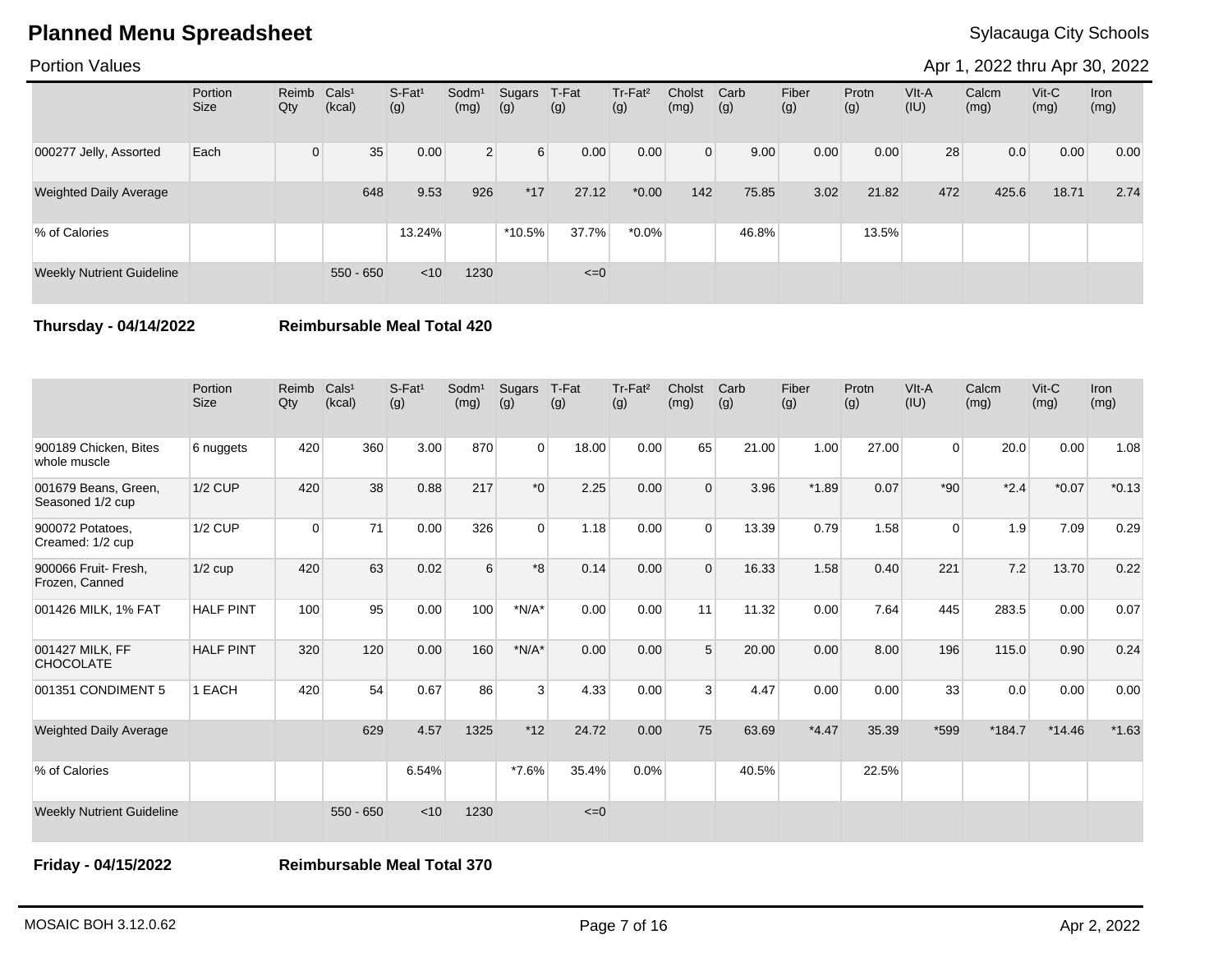### Portion Values

Apr 1, 2022 thru Apr 30, 2022

|                                  | Portion<br><b>Size</b> | Reimb Cals <sup>1</sup><br>Qty | (kcal)      | $S-Fat1$<br>(g) | Sodm <sup>1</sup><br>(mg) | Sugars<br>(g)    | T-Fat<br>(g) | Tr-Fat <sup>2</sup><br>(g) | Cholst<br>(mg) | Carb<br>(g) | Fiber<br>(g) | Protn<br>(g) | VIt-A<br>(IU) | Calcm<br>(mg) | $V$ it-C<br>(mg) | <b>Iron</b><br>(mg) |
|----------------------------------|------------------------|--------------------------------|-------------|-----------------|---------------------------|------------------|--------------|----------------------------|----------------|-------------|--------------|--------------|---------------|---------------|------------------|---------------------|
| 000277 Jelly, Assorted           | Each                   | $\Omega$                       | 35          | 0.00            | 2 <sup>1</sup>            | $6 \overline{6}$ | 0.00         | 0.00                       | $\overline{0}$ | 9.00        | 0.00         | 0.00         | 28            | 0.0           | 0.00             | 0.00                |
| <b>Weighted Daily Average</b>    |                        |                                | 648         | 9.53            | 926                       | $*17$            | 27.12        | $*0.00*$                   | 142            | 75.85       | 3.02         | 21.82        | 472           | 425.6         | 18.71            | 2.74                |
| % of Calories                    |                        |                                |             | 13.24%          |                           | $*10.5%$         | 37.7%        | $*0.0\%$                   |                | 46.8%       |              | 13.5%        |               |               |                  |                     |
| <b>Weekly Nutrient Guideline</b> |                        |                                | $550 - 650$ | $<$ 10          | 1230                      |                  | $\leq=0$     |                            |                |             |              |              |               |               |                  |                     |

**Thursday - 04/14/2022 Reimbursable Meal Total 420**

|                                          | Portion<br><b>Size</b> | Reimb<br>Qty | Cals <sup>1</sup><br>(kcal) | $S-Fat1$<br>(g) | Sodm <sup>1</sup><br>(mg) | Sugars<br>(g) | T-Fat<br>(g) | Tr-Fat <sup>2</sup><br>(g) | Cholst<br>(mg) | Carb<br>(g) | Fiber<br>(g) | Protn<br>(g) | VIt-A<br>(IU) | Calcm<br>(mg) | Vit-C<br>(mg) | <b>Iron</b><br>(mg) |
|------------------------------------------|------------------------|--------------|-----------------------------|-----------------|---------------------------|---------------|--------------|----------------------------|----------------|-------------|--------------|--------------|---------------|---------------|---------------|---------------------|
| 900189 Chicken, Bites<br>whole muscle    | 6 nuggets              | 420          | 360                         | 3.00            | 870                       | $\Omega$      | 18.00        | 0.00                       | 65             | 21.00       | 1.00         | 27.00        | $\Omega$      | 20.0          | 0.00          | 1.08                |
| 001679 Beans, Green,<br>Seasoned 1/2 cup | $1/2$ CUP              | 420          | 38                          | 0.88            | 217                       | $*_{0}$       | 2.25         | 0.00                       | $\Omega$       | 3.96        | $*1.89$      | 0.07         | $*90$         | $*2.4$        | $*0.07$       | $*0.13$             |
| 900072 Potatoes,<br>Creamed: 1/2 cup     | 1/2 CUP                | $\Omega$     | 71                          | 0.00            | 326                       | $\Omega$      | 1.18         | 0.00                       | $\Omega$       | 13.39       | 0.79         | 1.58         | $\Omega$      | 1.9           | 7.09          | 0.29                |
| 900066 Fruit- Fresh,<br>Frozen, Canned   | $1/2$ cup              | 420          | 63                          | 0.02            | 6                         | $*8$          | 0.14         | 0.00                       | $\Omega$       | 16.33       | 1.58         | 0.40         | 221           | 7.2           | 13.70         | 0.22                |
| 001426 MILK, 1% FAT                      | <b>HALF PINT</b>       | 100          | 95                          | 0.00            | 100                       | $*N/A*$       | 0.00         | 0.00                       | 11             | 11.32       | 0.00         | 7.64         | 445           | 283.5         | 0.00          | 0.07                |
| 001427 MILK, FF<br><b>CHOCOLATE</b>      | <b>HALF PINT</b>       | 320          | 120                         | 0.00            | 160                       | $*N/A*$       | 0.00         | 0.00                       | 5              | 20.00       | 0.00         | 8.00         | 196           | 115.0         | 0.90          | 0.24                |
| 001351 CONDIMENT 5                       | 1 EACH                 | 420          | 54                          | 0.67            | 86                        | 3             | 4.33         | 0.00                       | 3              | 4.47        | 0.00         | 0.00         | 33            | 0.0           | 0.00          | 0.00                |
| <b>Weighted Daily Average</b>            |                        |              | 629                         | 4.57            | 1325                      | $*12$         | 24.72        | 0.00                       | 75             | 63.69       | $*4.47$      | 35.39        | *599          | $*184.7$      | $*14.46$      | $*1.63$             |
| % of Calories                            |                        |              |                             | 6.54%           |                           | $*7.6\%$      | 35.4%        | 0.0%                       |                | 40.5%       |              | 22.5%        |               |               |               |                     |
| <b>Weekly Nutrient Guideline</b>         |                        |              | $550 - 650$                 | < 10            | 1230                      |               | $\leq=0$     |                            |                |             |              |              |               |               |               |                     |

**Friday - 04/15/2022 Reimbursable Meal Total 370**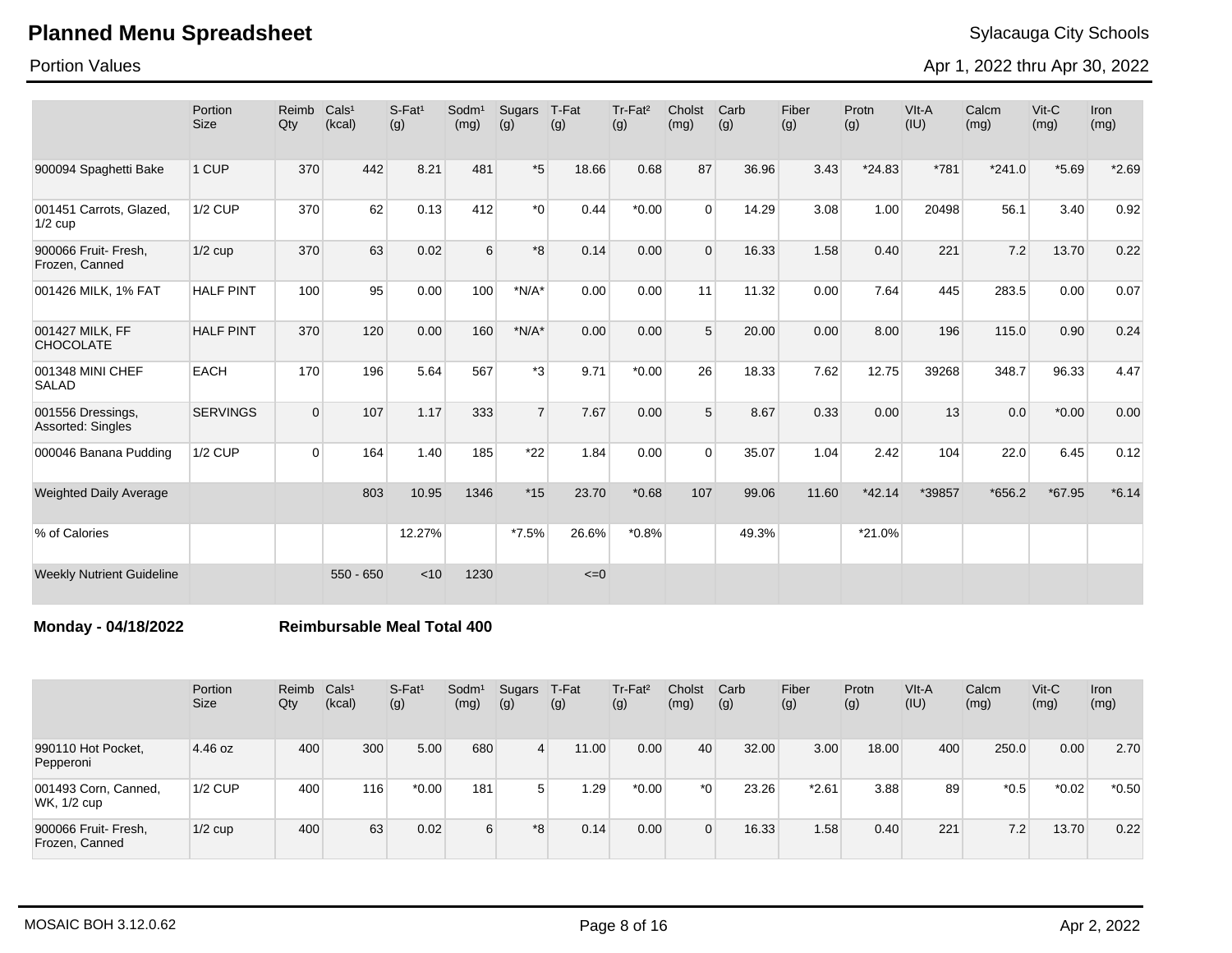Portion Values

Apr 1, 2022 thru Apr 30, 2022

|                                        | Portion<br><b>Size</b> | Reimb<br>Qty | Cals <sup>1</sup><br>(kcal) | $S$ -Fat <sup>1</sup><br>(g) | Sodm <sup>1</sup><br>(mg) | Sugars<br>(g)  | T-Fat<br>(g) | Tr-Fat <sup>2</sup><br>(g) | Cholst<br>(mg) | Carb<br>(g) | Fiber<br>(g) | Protn<br>(g) | VIt-A<br>(IU) | Calcm<br>(mg) | $V$ it-C<br>(mg) | <b>Iron</b><br>(mg) |
|----------------------------------------|------------------------|--------------|-----------------------------|------------------------------|---------------------------|----------------|--------------|----------------------------|----------------|-------------|--------------|--------------|---------------|---------------|------------------|---------------------|
| 900094 Spaghetti Bake                  | 1 CUP                  | 370          | 442                         | 8.21                         | 481                       | $*5$           | 18.66        | 0.68                       | 87             | 36.96       | 3.43         | $*24.83$     | *781          | $*241.0$      | $*5.69$          | $*2.69$             |
| 001451 Carrots, Glazed,<br>$1/2$ cup   | <b>1/2 CUP</b>         | 370          | 62                          | 0.13                         | 412                       | $*_{0}$        | 0.44         | $*0.00$                    | $\Omega$       | 14.29       | 3.08         | 1.00         | 20498         | 56.1          | 3.40             | 0.92                |
| 900066 Fruit- Fresh,<br>Frozen, Canned | $1/2$ cup              | 370          | 63                          | 0.02                         | 6                         | $*8$           | 0.14         | 0.00                       | $\Omega$       | 16.33       | 1.58         | 0.40         | 221           | 7.2           | 13.70            | 0.22                |
| 001426 MILK, 1% FAT                    | <b>HALF PINT</b>       | 100          | 95                          | 0.00                         | 100                       | $*N/A*$        | 0.00         | 0.00                       | 11             | 11.32       | 0.00         | 7.64         | 445           | 283.5         | 0.00             | 0.07                |
| 001427 MILK, FF<br><b>CHOCOLATE</b>    | <b>HALF PINT</b>       | 370          | 120                         | 0.00                         | 160                       | $*N/A*$        | 0.00         | 0.00                       | 5              | 20.00       | 0.00         | 8.00         | 196           | 115.0         | 0.90             | 0.24                |
| 001348 MINI CHEF<br><b>SALAD</b>       | <b>EACH</b>            | 170          | 196                         | 5.64                         | 567                       | $*3$           | 9.71         | $*0.00$                    | 26             | 18.33       | 7.62         | 12.75        | 39268         | 348.7         | 96.33            | 4.47                |
| 001556 Dressings,<br>Assorted: Singles | <b>SERVINGS</b>        | $\mathbf 0$  | 107                         | 1.17                         | 333                       | $\overline{7}$ | 7.67         | 0.00                       | 5 <sup>5</sup> | 8.67        | 0.33         | 0.00         | 13            | 0.0           | $*0.00$          | 0.00                |
| 000046 Banana Pudding                  | <b>1/2 CUP</b>         | $\Omega$     | 164                         | 1.40                         | 185                       | $*22$          | 1.84         | 0.00                       | $\Omega$       | 35.07       | 1.04         | 2.42         | 104           | 22.0          | 6.45             | 0.12                |
| <b>Weighted Daily Average</b>          |                        |              | 803                         | 10.95                        | 1346                      | $*15$          | 23.70        | $*0.68$                    | 107            | 99.06       | 11.60        | $*42.14$     | *39857        | $*656.2$      | *67.95           | $*6.14$             |
| % of Calories                          |                        |              |                             | 12.27%                       |                           | $*7.5%$        | 26.6%        | $*0.8%$                    |                | 49.3%       |              | *21.0%       |               |               |                  |                     |
| <b>Weekly Nutrient Guideline</b>       |                        |              | $550 - 650$                 | < 10                         | 1230                      |                | $\leq=0$     |                            |                |             |              |              |               |               |                  |                     |

**Monday - 04/18/2022 Reimbursable Meal Total 400**

|                                        | Portion<br><b>Size</b> | Reimb<br>Qty | Cals <sup>1</sup><br>(kcal) | S-Fat <sup>1</sup><br>(g) | Sodm <sup>1</sup><br>(mg) | Sugars<br>(g) | T-Fat<br>(g) | Tr-Fat <sup>2</sup><br>(g) | Cholst<br>(mg) | Carb<br>(g) | Fiber<br>(g) | Protn<br>(g) | VIt-A<br>(IU) | Calcm<br>(mg) | $V$ it-C<br>(mg) | Iron<br>(mg) |
|----------------------------------------|------------------------|--------------|-----------------------------|---------------------------|---------------------------|---------------|--------------|----------------------------|----------------|-------------|--------------|--------------|---------------|---------------|------------------|--------------|
| 990110 Hot Pocket,<br>Pepperoni        | 4.46 oz                | 400          | 300                         | 5.00                      | 680                       | 4             | 11.00        | 0.00                       | 40             | 32.00       | 3.00         | 18.00        | 400           | 250.0         | 0.00             | 2.70         |
| 001493 Corn, Canned,<br>WK, 1/2 cup    | $1/2$ CUP              | 400          | 116                         | $*0.00$                   | 181                       | 5             | ∍29.،        | $*0.00$                    | $*$ $\Omega$   | 23.26       | $*2.61$      | 3.88         | 89            | $*0.5$        | $*0.02$          | $*0.50$      |
| 900066 Fruit- Fresh,<br>Frozen, Canned | $1/2$ cup              | 400          | 63                          | 0.02                      | 6                         | $*8$          | 0.14         | 0.00                       | $\Omega$       | 16.33       | 1.58         | 0.40         | 221           | 7.2           | 13.70            | 0.22         |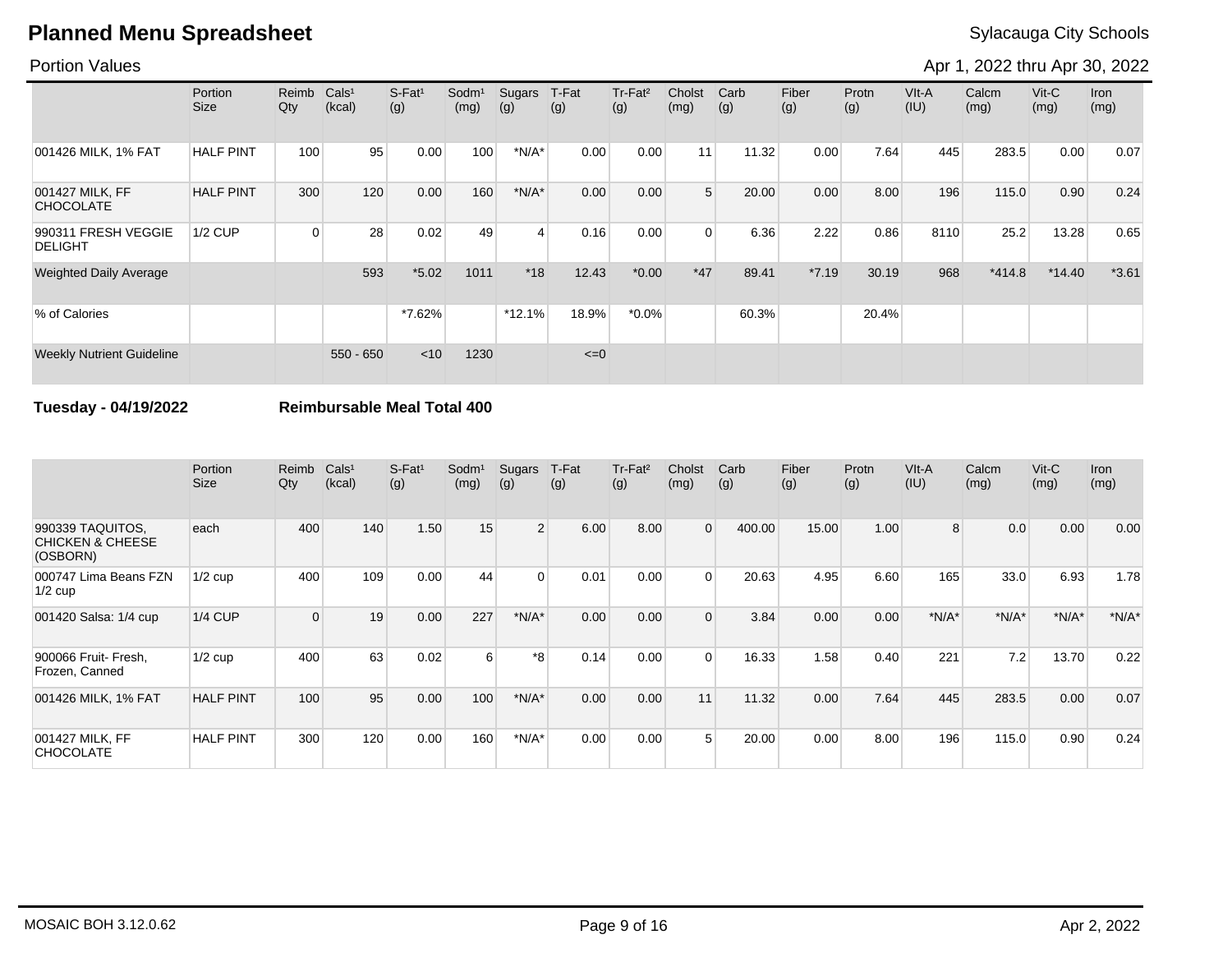### Portion Values

Apr 1, 2022 thru Apr 30, 2022

|                                       | Portion<br>Size  | Reimb<br>Qty | Cals <sup>1</sup><br>(kcal) | $S-Fat1$<br>(g) | Sodm <sup>1</sup><br>(mg) | Sugars<br>(g) | T-Fat<br>(g) | Tr-Fat <sup>2</sup><br>(g) | Cholst<br>(mg) | Carb<br>(g) | Fiber<br>(g) | Protn<br>(g) | VIt-A<br>(IU) | Calcm<br>(mg) | $V$ it-C<br>(mg) | Iron<br>(mg) |
|---------------------------------------|------------------|--------------|-----------------------------|-----------------|---------------------------|---------------|--------------|----------------------------|----------------|-------------|--------------|--------------|---------------|---------------|------------------|--------------|
| 001426 MILK, 1% FAT                   | <b>HALF PINT</b> | 100          | 95                          | 0.00            | 100                       | $*N/A*$       | 0.00         | 0.00                       | 11             | 11.32       | 0.00         | 7.64         | 445           | 283.5         | 0.00             | 0.07         |
| 001427 MILK, FF<br><b>CHOCOLATE</b>   | <b>HALF PINT</b> | 300          | 120                         | 0.00            | 160                       | $*N/A*$       | 0.00         | 0.00                       | 5 <sup>5</sup> | 20.00       | 0.00         | 8.00         | 196           | 115.0         | 0.90             | 0.24         |
| 990311 FRESH VEGGIE<br><b>DELIGHT</b> | <b>1/2 CUP</b>   | 0            | 28                          | 0.02            | 49                        | 4             | 0.16         | 0.00                       | $\Omega$       | 6.36        | 2.22         | 0.86         | 8110          | 25.2          | 13.28            | 0.65         |
| <b>Weighted Daily Average</b>         |                  |              | 593                         | $*5.02$         | 1011                      | $*18$         | 12.43        | $*0.00$                    | $*47$          | 89.41       | $*7.19$      | 30.19        | 968           | $*414.8$      | $*14.40$         | $*3.61$      |
| % of Calories                         |                  |              |                             | $*7.62\%$       |                           | $*12.1%$      | 18.9%        | $*0.0\%$                   |                | 60.3%       |              | 20.4%        |               |               |                  |              |
| <b>Weekly Nutrient Guideline</b>      |                  |              | $550 - 650$                 | $<$ 10          | 1230                      |               | $\leq=0$     |                            |                |             |              |              |               |               |                  |              |

### **Tuesday - 04/19/2022 Reimbursable Meal Total 400**

|                                                             | Portion<br><b>Size</b> | Reimb<br>Qty | Cals <sup>1</sup><br>(kcal) | $S-Fat1$<br>(g) | Sodm <sup>1</sup><br>(mg) | Sugars<br>(g)  | T-Fat<br>(g) | Tr-Fat <sup>2</sup><br>(g) | Cholst<br>(mg) | Carb<br>(g) | Fiber<br>(g) | Protn<br>(g) | VIt-A<br>(IU) | Calcm<br>(mg) | $V$ it-C<br>(mg) | <b>Iron</b><br>(mg) |
|-------------------------------------------------------------|------------------------|--------------|-----------------------------|-----------------|---------------------------|----------------|--------------|----------------------------|----------------|-------------|--------------|--------------|---------------|---------------|------------------|---------------------|
| 990339 TAQUITOS,<br><b>CHICKEN &amp; CHEESE</b><br>(OSBORN) | each                   | 400          | 140                         | 1.50            | 15                        | $\overline{2}$ | 6.00         | 8.00                       | $\overline{0}$ | 400.00      | 15.00        | 1.00         | 8             | 0.0           | 0.00             | 0.00                |
| 000747 Lima Beans FZN<br>$1/2$ cup                          | $1/2$ cup              | 400          | 109                         | 0.00            | 44                        | $\Omega$       | 0.01         | 0.00                       | $\Omega$       | 20.63       | 4.95         | 6.60         | 165           | 33.0          | 6.93             | 1.78                |
| 001420 Salsa: 1/4 cup                                       | $1/4$ CUP              | $\Omega$     | 19                          | 0.00            | 227                       | $*N/A*$        | 0.00         | 0.00                       | $\Omega$       | 3.84        | 0.00         | 0.00         | $*N/A*$       | $*N/A*$       | $*N/A*$          | $*N/A*$             |
| 900066 Fruit- Fresh,<br>Frozen, Canned                      | $1/2$ cup              | 400          | 63                          | 0.02            | 6                         | *8             | 0.14         | 0.00                       | $\Omega$       | 16.33       | 1.58         | 0.40         | 221           | 7.2           | 13.70            | 0.22                |
| 001426 MILK, 1% FAT                                         | <b>HALF PINT</b>       | 100          | 95                          | 0.00            | 100                       | $*N/A*$        | 0.00         | 0.00                       | 11             | 11.32       | 0.00         | 7.64         | 445           | 283.5         | 0.00             | 0.07                |
| 001427 MILK, FF<br><b>CHOCOLATE</b>                         | <b>HALF PINT</b>       | 300          | 120                         | 0.00            | 160                       | $*N/A*$        | 0.00         | 0.00                       | 5              | 20.00       | 0.00         | 8.00         | 196           | 115.0         | 0.90             | 0.24                |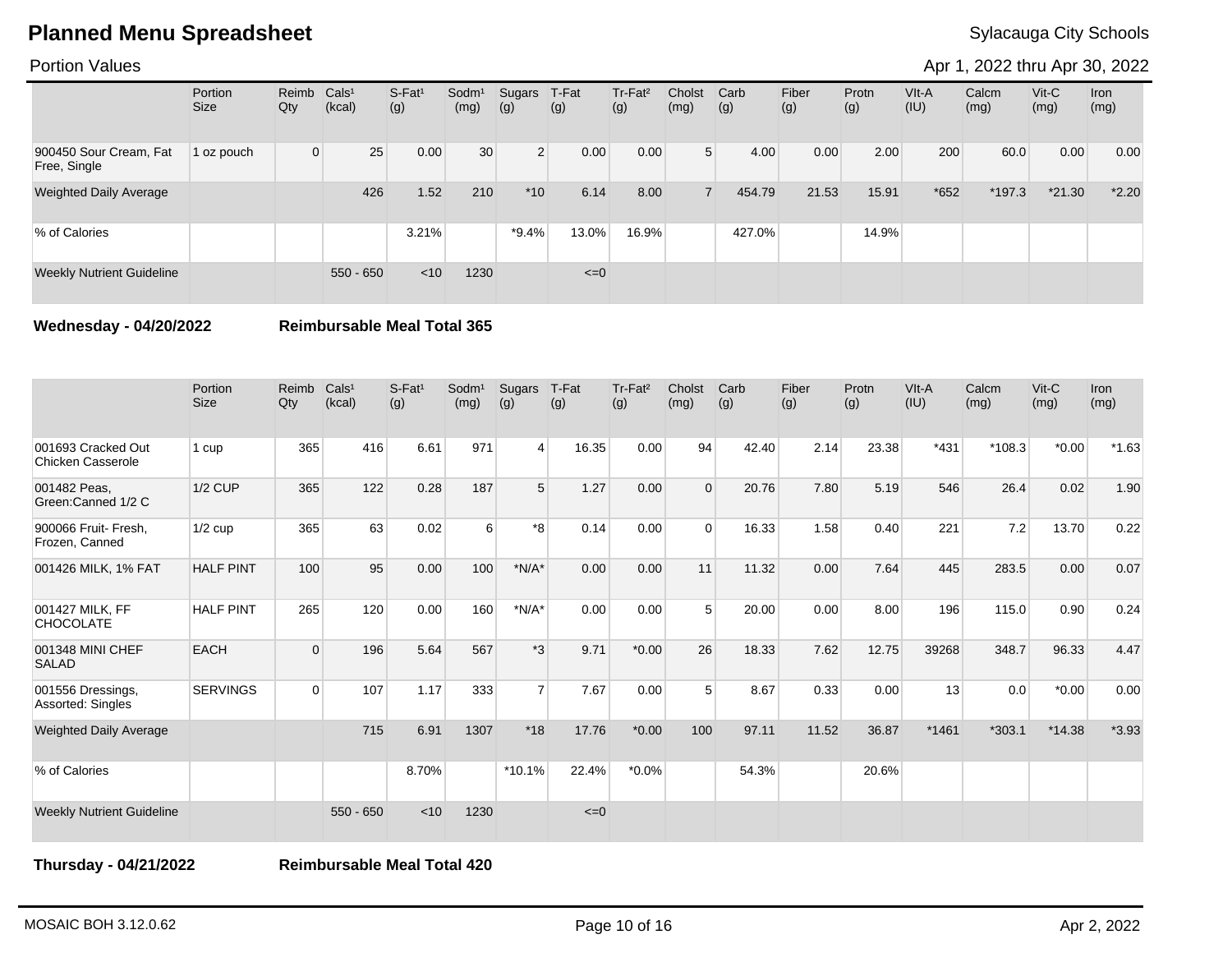Portion Values

Apr 1, 2022 thru Apr 30, 2022

|                                        | Portion<br><b>Size</b> | Reimb<br>Qty | Cals <sup>1</sup><br>(kcal) | $S-Fat1$<br>(g) | Sodm <sup>1</sup><br>(mg) | Sugars<br>(g)  | T-Fat<br>(g) | Tr-Fat <sup>2</sup><br>(g) | Cholst<br>(mg) | Carb<br>(g) | Fiber<br>(g) | Protn<br>(g) | VIt-A<br>(IU) | Calcm<br>(mg) | $V$ it-C<br>(mg) | <b>Iron</b><br>(mg) |
|----------------------------------------|------------------------|--------------|-----------------------------|-----------------|---------------------------|----------------|--------------|----------------------------|----------------|-------------|--------------|--------------|---------------|---------------|------------------|---------------------|
| 900450 Sour Cream, Fat<br>Free, Single | 1 oz pouch             | $\Omega$     | 25                          | 0.00            | 30                        | 2 <sup>1</sup> | 0.00         | 0.00                       | 5 <sup>1</sup> | 4.00        | 0.00         | 2.00         | 200           | 60.0          | 0.00             | 0.00                |
| <b>Weighted Daily Average</b>          |                        |              | 426                         | 1.52            | 210                       | $*10$          | 6.14         | 8.00                       |                | 454.79      | 21.53        | 15.91        | $*652$        | *197.3        | $*21.30$         | $*2.20$             |
| % of Calories                          |                        |              |                             | 3.21%           |                           | *9.4%          | 13.0%        | 16.9%                      |                | 427.0%      |              | 14.9%        |               |               |                  |                     |
| <b>Weekly Nutrient Guideline</b>       |                        |              | $550 - 650$                 | $<$ 10          | 1230                      |                | $\leq=0$     |                            |                |             |              |              |               |               |                  |                     |

**Wednesday - 04/20/2022 Reimbursable Meal Total 365**

|                                                | Portion<br><b>Size</b> | Reimb<br>Qty | Cals <sup>1</sup><br>(kcal) | S-Fat <sup>1</sup><br>(g) | Sodm <sup>1</sup><br>(mg) | Sugars<br>(g)  | T-Fat<br>(g) | Tr-Fat <sup>2</sup><br>(g) | Cholst<br>(mg) | Carb<br>(g) | Fiber<br>(g) | Protn<br>(g) | VIt-A<br>(IU) | Calcm<br>(mg) | Vit-C<br>(mg) | <b>Iron</b><br>(mg) |
|------------------------------------------------|------------------------|--------------|-----------------------------|---------------------------|---------------------------|----------------|--------------|----------------------------|----------------|-------------|--------------|--------------|---------------|---------------|---------------|---------------------|
| 001693 Cracked Out<br><b>Chicken Casserole</b> | 1 cup                  | 365          | 416                         | 6.61                      | 971                       | $\vert$        | 16.35        | 0.00                       | 94             | 42.40       | 2.14         | 23.38        | $*431$        | $*108.3$      | $*0.00*$      | $*1.63$             |
| 001482 Peas.<br>Green:Canned 1/2 C             | $1/2$ CUP              | 365          | 122                         | 0.28                      | 187                       | 5              | 1.27         | 0.00                       | $\Omega$       | 20.76       | 7.80         | 5.19         | 546           | 26.4          | 0.02          | 1.90                |
| 900066 Fruit- Fresh,<br>Frozen, Canned         | $1/2$ cup              | 365          | 63                          | 0.02                      | 6                         | *8             | 0.14         | 0.00                       | $\Omega$       | 16.33       | 1.58         | 0.40         | 221           | 7.2           | 13.70         | 0.22                |
| 001426 MILK, 1% FAT                            | <b>HALF PINT</b>       | 100          | 95                          | 0.00                      | 100                       | $*N/A*$        | 0.00         | 0.00                       | 11             | 11.32       | 0.00         | 7.64         | 445           | 283.5         | 0.00          | 0.07                |
| 001427 MILK, FF<br><b>CHOCOLATE</b>            | <b>HALF PINT</b>       | 265          | 120                         | 0.00                      | 160                       | $*N/A*$        | 0.00         | 0.00                       | 5              | 20.00       | 0.00         | 8.00         | 196           | 115.0         | 0.90          | 0.24                |
| 001348 MINI CHEF<br><b>SALAD</b>               | <b>EACH</b>            | $\Omega$     | 196                         | 5.64                      | 567                       | $*3$           | 9.71         | $*0.00$                    | 26             | 18.33       | 7.62         | 12.75        | 39268         | 348.7         | 96.33         | 4.47                |
| 001556 Dressings,<br>Assorted: Singles         | <b>SERVINGS</b>        | $\Omega$     | 107                         | 1.17                      | 333                       | $\overline{7}$ | 7.67         | 0.00                       | 5              | 8.67        | 0.33         | 0.00         | 13            | 0.0           | $*0.00*$      | 0.00                |
| <b>Weighted Daily Average</b>                  |                        |              | 715                         | 6.91                      | 1307                      | $*18$          | 17.76        | $*0.00$                    | 100            | 97.11       | 11.52        | 36.87        | $*1461$       | $*303.1$      | $*14.38$      | $*3.93$             |
| % of Calories                                  |                        |              |                             | 8.70%                     |                           | $*10.1%$       | 22.4%        | $*0.0\%$                   |                | 54.3%       |              | 20.6%        |               |               |               |                     |
| <b>Weekly Nutrient Guideline</b>               |                        |              | $550 - 650$                 | < 10                      | 1230                      |                | $\leq=0$     |                            |                |             |              |              |               |               |               |                     |

**Thursday - 04/21/2022 Reimbursable Meal Total 420**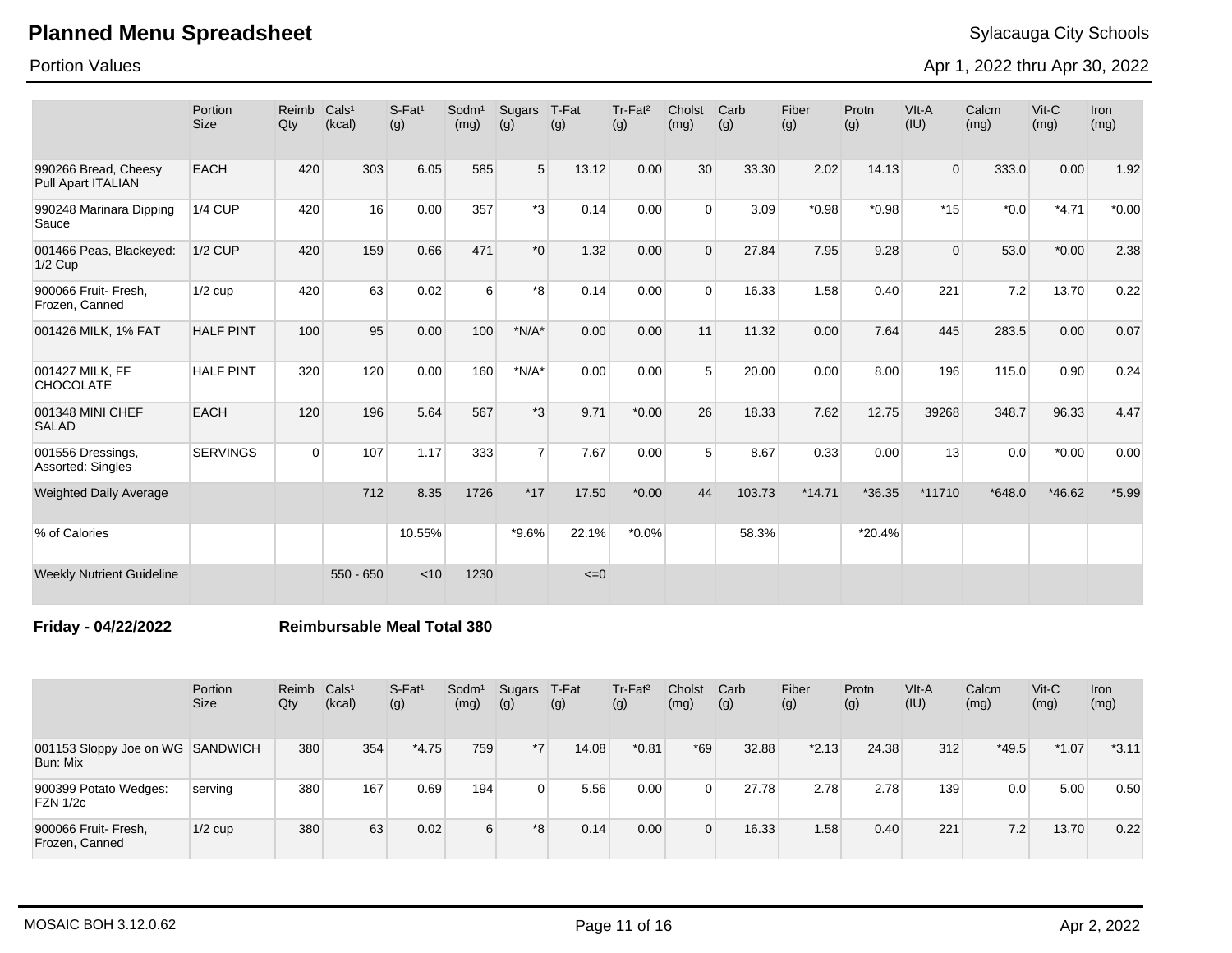Portion Values

Apr 1, 2022 thru Apr 30, 2022

|                                                   | Portion<br><b>Size</b> | Reimb<br>Qty | Cals <sup>1</sup><br>(kcal) | $S$ -Fat <sup>1</sup><br>(g) | Sodm <sup>1</sup><br>(mg) | Sugars<br>(g)  | T-Fat<br>(g) | Tr-Fat <sup>2</sup><br>(g) | Cholst<br>(mg) | Carb<br>(g) | Fiber<br>(g) | Protn<br>(g) | VIt-A<br>(IU) | Calcm<br>(mg) | $V$ it-C<br>(mg) | <b>Iron</b><br>(mg) |
|---------------------------------------------------|------------------------|--------------|-----------------------------|------------------------------|---------------------------|----------------|--------------|----------------------------|----------------|-------------|--------------|--------------|---------------|---------------|------------------|---------------------|
| 990266 Bread, Cheesy<br><b>Pull Apart ITALIAN</b> | <b>EACH</b>            | 420          | 303                         | 6.05                         | 585                       | 5              | 13.12        | 0.00                       | 30             | 33.30       | 2.02         | 14.13        | $\Omega$      | 333.0         | 0.00             | 1.92                |
| 990248 Marinara Dipping<br>Sauce                  | <b>1/4 CUP</b>         | 420          | 16                          | 0.00                         | 357                       | *3             | 0.14         | 0.00                       | $\Omega$       | 3.09        | $*0.98$      | $*0.98$      | $*15$         | $*0.0$        | $*4.71$          | $*0.00$             |
| 001466 Peas, Blackeyed:<br>$1/2$ Cup              | <b>1/2 CUP</b>         | 420          | 159                         | 0.66                         | 471                       | $*_{0}$        | 1.32         | 0.00                       | $\Omega$       | 27.84       | 7.95         | 9.28         | $\Omega$      | 53.0          | $*0.00$          | 2.38                |
| 900066 Fruit- Fresh,<br>Frozen, Canned            | $1/2$ cup              | 420          | 63                          | 0.02                         | 6                         | $*_{8}$        | 0.14         | 0.00                       | $\Omega$       | 16.33       | 1.58         | 0.40         | 221           | 7.2           | 13.70            | 0.22                |
| 001426 MILK, 1% FAT                               | <b>HALF PINT</b>       | 100          | 95                          | 0.00                         | 100                       | $*N/A*$        | 0.00         | 0.00                       | 11             | 11.32       | 0.00         | 7.64         | 445           | 283.5         | 0.00             | 0.07                |
| 001427 MILK, FF<br><b>CHOCOLATE</b>               | <b>HALF PINT</b>       | 320          | 120                         | 0.00                         | 160                       | $*N/A*$        | 0.00         | 0.00                       | 5              | 20.00       | 0.00         | 8.00         | 196           | 115.0         | 0.90             | 0.24                |
| 001348 MINI CHEF<br><b>SALAD</b>                  | <b>EACH</b>            | 120          | 196                         | 5.64                         | 567                       | $*3$           | 9.71         | $*0.00$                    | 26             | 18.33       | 7.62         | 12.75        | 39268         | 348.7         | 96.33            | 4.47                |
| 001556 Dressings,<br>Assorted: Singles            | <b>SERVINGS</b>        | $\Omega$     | 107                         | 1.17                         | 333                       | $\overline{7}$ | 7.67         | 0.00                       | 5              | 8.67        | 0.33         | 0.00         | 13            | 0.0           | $*0.00$          | 0.00                |
| <b>Weighted Daily Average</b>                     |                        |              | 712                         | 8.35                         | 1726                      | $*17$          | 17.50        | $*0.00$                    | 44             | 103.73      | $*14.71$     | $*36.35$     | *11710        | $*648.0$      | $*46.62$         | $*5.99$             |
| % of Calories                                     |                        |              |                             | 10.55%                       |                           | $*9.6%$        | 22.1%        | $*0.0\%$                   |                | 58.3%       |              | $*20.4%$     |               |               |                  |                     |
| <b>Weekly Nutrient Guideline</b>                  |                        |              | $550 - 650$                 | < 10                         | 1230                      |                | $\leq=0$     |                            |                |             |              |              |               |               |                  |                     |

**Friday - 04/22/2022 Reimbursable Meal Total 380**

|                                              | Portion<br><b>Size</b> | Reimb<br>Qty | Cals <sup>1</sup><br>(kcal) | $S$ -Fat <sup>1</sup><br>(g) | Sodm <sup>1</sup><br>(mg) | Sugars<br>(g) | T-Fat<br>(g) | Tr-Fat <sup>2</sup><br>(g) | Cholst<br>(mg) | Carb<br>(g) | Fiber<br>(g) | Protn<br>(g) | VIt-A<br>(IU) | Calcm<br>(mg) | $V$ it-C<br>(mg) | Iron<br>(mg) |
|----------------------------------------------|------------------------|--------------|-----------------------------|------------------------------|---------------------------|---------------|--------------|----------------------------|----------------|-------------|--------------|--------------|---------------|---------------|------------------|--------------|
| 001153 Sloppy Joe on WG SANDWICH<br>Bun: Mix |                        | 380          | 354                         | $*4.75$                      | 759                       | $*7$          | 14.08        | $*0.81$                    | $*69$          | 32.88       | $*2.13$      | 24.38        | 312           | $*49.5$       | $*1.07$          | $*3.11$      |
| 900399 Potato Wedges:<br><b>FZN 1/2c</b>     | serving                | 380          | 167                         | 0.69                         | 194                       | $\Omega$      | 5.56         | 0.00                       | 0              | 27.78       | 2.78         | 2.78         | 139           | 0.0           | 5.00             | 0.50         |
| 900066 Fruit- Fresh,<br>Frozen, Canned       | $1/2$ cup              | 380          | 63                          | 0.02                         | 6                         | *8            | 0.14         | 0.00                       | 0              | 16.33       | 1.58         | 0.40         | 221           | 7.2           | 13.70            | 0.22         |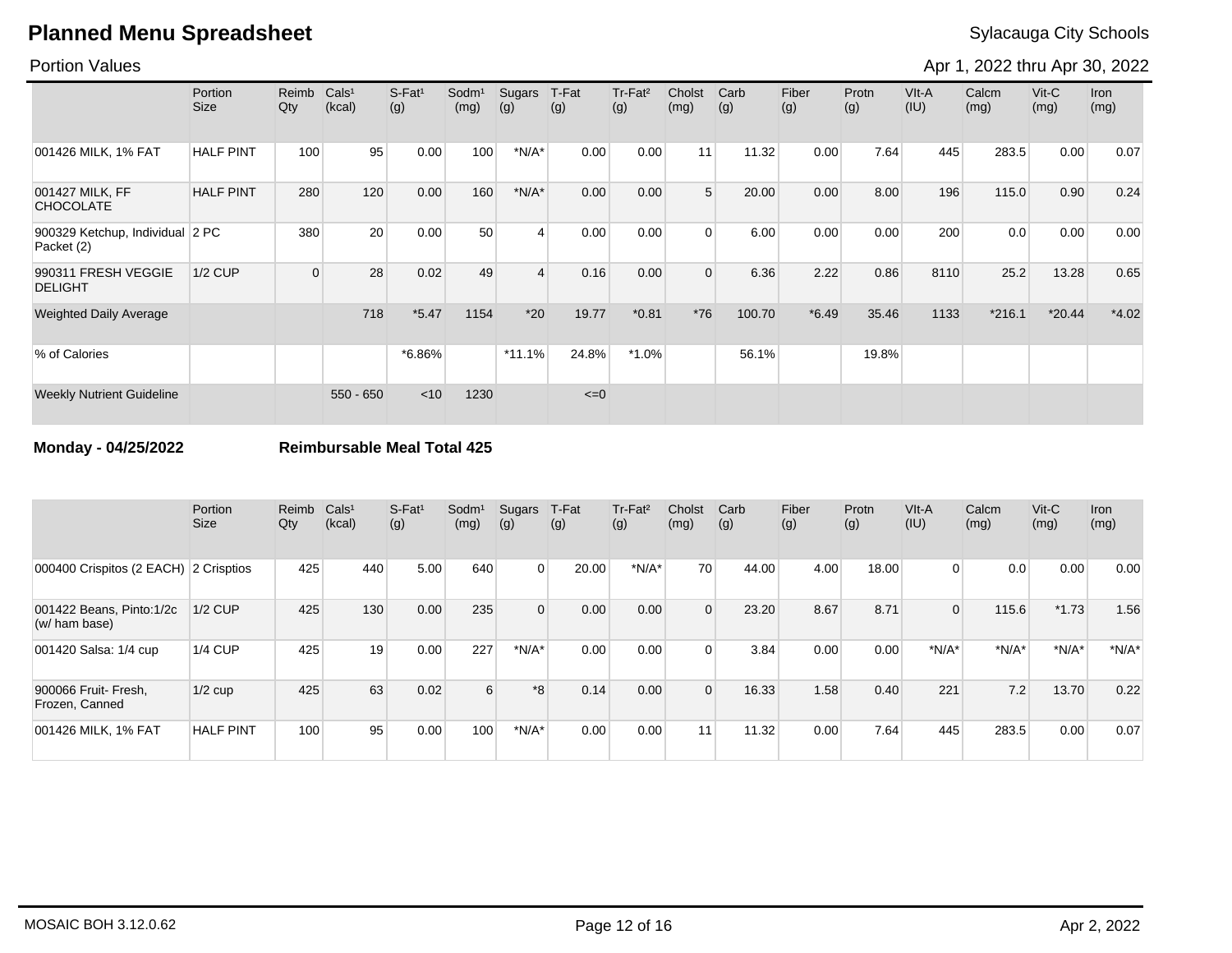### Portion Values

Apr 1, 2022 thru Apr 30, 2022

|                                               | Portion<br>Size  | Reimb<br>Qty | Cals <sup>1</sup><br>(kcal) | $S-Fat1$<br>(g) | Sodm <sup>1</sup><br>(mg) | Sugars<br>(g) | T-Fat<br>(g) | Tr-Fat <sup>2</sup><br>(g) | Cholst<br>(mg) | Carb<br>(g) | Fiber<br>(g) | Protn<br>(g) | VIt-A<br>(IU) | Calcm<br>(mg) | $V$ it-C<br>(mg) | <b>Iron</b><br>(mg) |
|-----------------------------------------------|------------------|--------------|-----------------------------|-----------------|---------------------------|---------------|--------------|----------------------------|----------------|-------------|--------------|--------------|---------------|---------------|------------------|---------------------|
| 001426 MILK, 1% FAT                           | <b>HALF PINT</b> | 100          | 95                          | 0.00            | 100                       | $*N/A*$       | 0.00         | 0.00                       | 11             | 11.32       | 0.00         | 7.64         | 445           | 283.5         | 0.00             | 0.07                |
| 001427 MILK, FF<br><b>CHOCOLATE</b>           | <b>HALF PINT</b> | 280          | 120                         | 0.00            | 160                       | $*N/A*$       | 0.00         | 0.00                       | 5              | 20.00       | 0.00         | 8.00         | 196           | 115.0         | 0.90             | 0.24                |
| 900329 Ketchup, Individual 2 PC<br>Packet (2) |                  | 380          | 20                          | 0.00            | 50                        | 4             | 0.00         | 0.00                       | $\Omega$       | 6.00        | 0.00         | 0.00         | 200           | 0.0           | 0.00             | 0.00                |
| 990311 FRESH VEGGIE<br><b>DELIGHT</b>         | <b>1/2 CUP</b>   | $\Omega$     | 28                          | 0.02            | 49                        | 4             | 0.16         | 0.00                       | $\Omega$       | 6.36        | 2.22         | 0.86         | 8110          | 25.2          | 13.28            | 0.65                |
| <b>Weighted Daily Average</b>                 |                  |              | 718                         | $*5.47$         | 1154                      | $*20$         | 19.77        | $*0.81$                    | $*76$          | 100.70      | $*6.49$      | 35.46        | 1133          | $*216.1$      | $*20.44$         | $*4.02$             |
| % of Calories                                 |                  |              |                             | *6.86%          |                           | $*11.1%$      | 24.8%        | $*1.0\%$                   |                | 56.1%       |              | 19.8%        |               |               |                  |                     |
| <b>Weekly Nutrient Guideline</b>              |                  |              | $550 - 650$                 | $<$ 10          | 1230                      |               | $\leq=0$     |                            |                |             |              |              |               |               |                  |                     |

**Monday - 04/25/2022 Reimbursable Meal Total 425**

|                                           | Portion<br><b>Size</b> | Reimb<br>Qty | Cals <sup>1</sup><br>(kcal) | $S-Fat1$<br>(g) | Sodm <sup>1</sup><br>(mg) | Sugars<br>(g) | T-Fat<br>(g) | $Tr-Fat2$<br>(g) | Cholst<br>(mg) | Carb<br>(g) | Fiber<br>(g) | Protn<br>(g) | VIt-A<br>(IU)  | Calcm<br>(mg) | $V$ it-C<br>(mg) | <b>Iron</b><br>(mg) |
|-------------------------------------------|------------------------|--------------|-----------------------------|-----------------|---------------------------|---------------|--------------|------------------|----------------|-------------|--------------|--------------|----------------|---------------|------------------|---------------------|
| 000400 Crispitos (2 EACH) 2 Crisptios     |                        | 425          | 440                         | 5.00            | 640                       | $\mathbf 0$   | 20.00        | $*N/A*$          | 70             | 44.00       | 4.00         | 18.00        | $\Omega$       | 0.0           | 0.00             | 0.00                |
| 001422 Beans, Pinto:1/2c<br>(w/ ham base) | $1/2$ CUP              | 425          | 130                         | 0.00            | 235                       | $\mathbf{0}$  | 0.00         | 0.00             | $\overline{0}$ | 23.20       | 8.67         | 8.71         | $\overline{0}$ | 115.6         | $*1.73$          | 1.56                |
| 001420 Salsa: 1/4 cup                     | $1/4$ CUP              | 425          | 19                          | 0.00            | 227                       | $*N/A*$       | 0.00         | 0.00             | $\Omega$       | 3.84        | 0.00         | 0.00         | $*N/A*$        | $*N/A*$       | $*N/A*$          | $*N/A*$             |
| 900066 Fruit- Fresh,<br>Frozen, Canned    | $1/2$ cup              | 425          | 63                          | 0.02            | 6                         | *8            | 0.14         | 0.00             | $\Omega$       | 16.33       | 1.58         | 0.40         | 221            | 7.2           | 13.70            | 0.22                |
| 001426 MILK, 1% FAT                       | <b>HALF PINT</b>       | 100          | 95                          | 0.00            | 100                       | $*N/A*$       | 0.00         | 0.00             | 11             | 11.32       | 0.00         | 7.64         | 445            | 283.5         | 0.00             | 0.07                |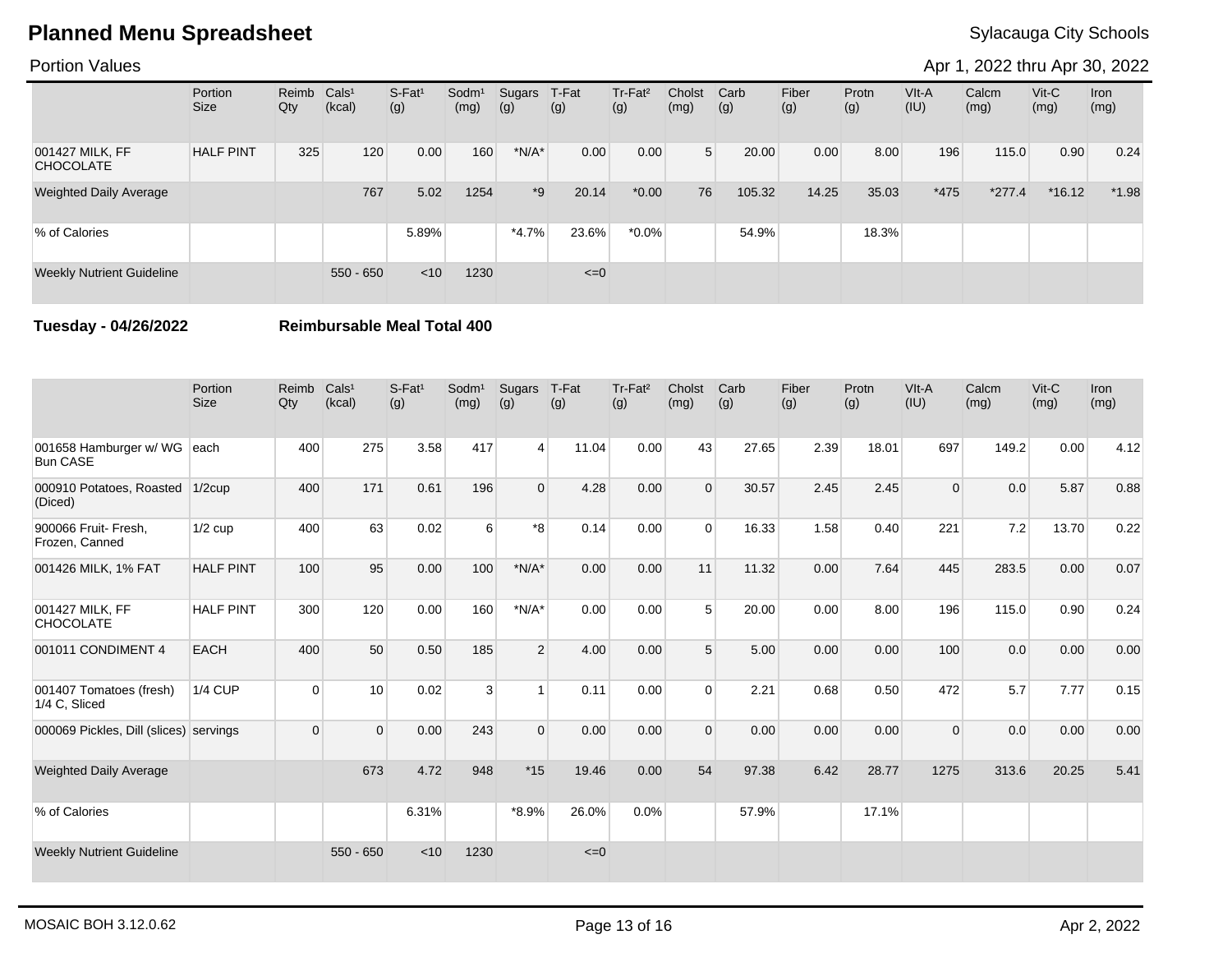### Portion Values

Apr 1, 2022 thru Apr 30, 2022

|                                     | Portion<br><b>Size</b> | Reimb Cals <sup>1</sup><br>Qty | (kcal)      | $S-Fat1$<br>(g) | Sodm <sup>1</sup><br>(mg) | Sugars<br>(g) | T-Fat<br>(g) | Tr-Fat <sup>2</sup><br>(g) | Cholst<br>(mg) | Carb<br>(g) | Fiber<br>(g) | Protn<br>(g) | VIt-A<br>(IU) | Calcm<br>(mg) | $V$ it-C<br>(mg) | <b>Iron</b><br>(mg) |
|-------------------------------------|------------------------|--------------------------------|-------------|-----------------|---------------------------|---------------|--------------|----------------------------|----------------|-------------|--------------|--------------|---------------|---------------|------------------|---------------------|
| 001427 MILK, FF<br><b>CHOCOLATE</b> | <b>HALF PINT</b>       | 325                            | 120         | 0.00            | 160                       | $*N/A*$       | 0.00         | 0.00                       | 5 <sup>1</sup> | 20.00       | 0.00         | 8.00         | 196           | 115.0         | 0.90             | 0.24                |
| <b>Weighted Daily Average</b>       |                        |                                | 767         | 5.02            | 1254                      | $*9$          | 20.14        | $*0.00$                    | 76             | 105.32      | 14.25        | 35.03        | $*475$        | $*277.4$      | $*16.12$         | $*1.98$             |
| % of Calories                       |                        |                                |             | 5.89%           |                           | $*4.7\%$      | 23.6%        | $*0.0\%$                   |                | 54.9%       |              | 18.3%        |               |               |                  |                     |
| <b>Weekly Nutrient Guideline</b>    |                        |                                | $550 - 650$ | < 10            | 1230                      |               | $\leq=0$     |                            |                |             |              |              |               |               |                  |                     |

**Tuesday - 04/26/2022 Reimbursable Meal Total 400**

|                                           | Portion<br><b>Size</b> | Reimb<br>Qty | Cals <sup>1</sup><br>(kcal) | S-Fat <sup>1</sup><br>(g) | Sodm <sup>1</sup><br>(mg) | Sugars<br>(g)  | T-Fat<br>(g) | Tr-Fat <sup>2</sup><br>(g) | Cholst<br>(mg) | Carb<br>(g) | Fiber<br>(g) | Protn<br>(g) | VIt-A<br>(IU) | Calcm<br>(mg) | Vit-C<br>(mg) | <b>Iron</b><br>(mg) |
|-------------------------------------------|------------------------|--------------|-----------------------------|---------------------------|---------------------------|----------------|--------------|----------------------------|----------------|-------------|--------------|--------------|---------------|---------------|---------------|---------------------|
| 001658 Hamburger w/ WG<br><b>Bun CASE</b> | each                   | 400          | 275                         | 3.58                      | 417                       | $\overline{4}$ | 11.04        | 0.00                       | 43             | 27.65       | 2.39         | 18.01        | 697           | 149.2         | 0.00          | 4.12                |
| 000910 Potatoes, Roasted<br>(Diced)       | $1/2$ cup              | 400          | 171                         | 0.61                      | 196                       | $\Omega$       | 4.28         | 0.00                       | $\Omega$       | 30.57       | 2.45         | 2.45         | $\Omega$      | 0.0           | 5.87          | 0.88                |
| 900066 Fruit- Fresh,<br>Frozen, Canned    | $1/2$ cup              | 400          | 63                          | 0.02                      | 6                         | *8             | 0.14         | 0.00                       | $\Omega$       | 16.33       | 1.58         | 0.40         | 221           | 7.2           | 13.70         | 0.22                |
| 001426 MILK, 1% FAT                       | <b>HALF PINT</b>       | 100          | 95                          | 0.00                      | 100                       | $*N/A*$        | 0.00         | 0.00                       | 11             | 11.32       | 0.00         | 7.64         | 445           | 283.5         | 0.00          | 0.07                |
| 001427 MILK, FF<br><b>CHOCOLATE</b>       | <b>HALF PINT</b>       | 300          | 120                         | 0.00                      | 160                       | $*N/A*$        | 0.00         | 0.00                       | 5              | 20.00       | 0.00         | 8.00         | 196           | 115.0         | 0.90          | 0.24                |
| 001011 CONDIMENT 4                        | EACH                   | 400          | 50                          | 0.50                      | 185                       | $\overline{2}$ | 4.00         | 0.00                       | 5              | 5.00        | 0.00         | 0.00         | 100           | 0.0           | 0.00          | 0.00                |
| 001407 Tomatoes (fresh)<br>1/4 C, Sliced  | <b>1/4 CUP</b>         | $\Omega$     | 10 <sup>1</sup>             | 0.02                      | 3                         | $\overline{1}$ | 0.11         | 0.00                       | $\Omega$       | 2.21        | 0.68         | 0.50         | 472           | 5.7           | 7.77          | 0.15                |
| 000069 Pickles, Dill (slices) servings    |                        | $\Omega$     | $\Omega$                    | 0.00                      | 243                       | $\Omega$       | 0.00         | 0.00                       | $\Omega$       | 0.00        | 0.00         | 0.00         | $\Omega$      | 0.0           | 0.00          | 0.00                |
| <b>Weighted Daily Average</b>             |                        |              | 673                         | 4.72                      | 948                       | $*15$          | 19.46        | 0.00                       | 54             | 97.38       | 6.42         | 28.77        | 1275          | 313.6         | 20.25         | 5.41                |
| % of Calories                             |                        |              |                             | 6.31%                     |                           | $*8.9\%$       | 26.0%        | 0.0%                       |                | 57.9%       |              | 17.1%        |               |               |               |                     |
| <b>Weekly Nutrient Guideline</b>          |                        |              | $550 - 650$                 | < 10                      | 1230                      |                | $\leq=0$     |                            |                |             |              |              |               |               |               |                     |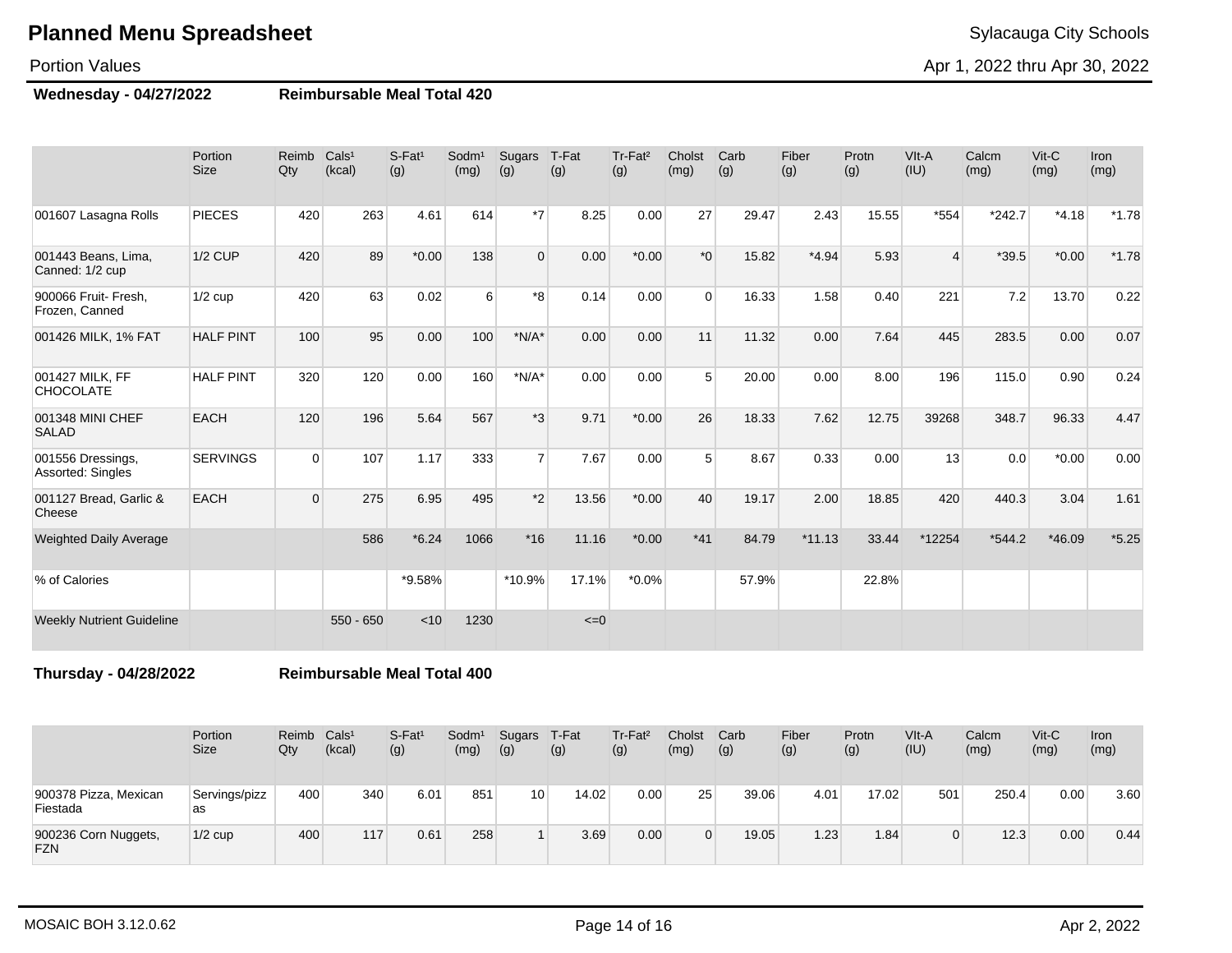### Portion Values

**Wednesday - 04/27/2022 Reimbursable Meal Total 420**

|                                        | Portion<br><b>Size</b> | Reimb<br>Qty | Cals <sup>1</sup><br>(kcal) | $S$ -Fat <sup>1</sup><br>(g) | Sodm <sup>1</sup><br>(mg) | Sugars<br>(g)  | T-Fat<br>(g) | Tr-Fat <sup>2</sup><br>(g) | Cholst<br>(mg)   | Carb<br>(g) | Fiber<br>(g) | Protn<br>(g) | VIt-A<br>(IU)  | Calcm<br>(mg) | Vit-C<br>(mg) | Iron<br>(mg) |
|----------------------------------------|------------------------|--------------|-----------------------------|------------------------------|---------------------------|----------------|--------------|----------------------------|------------------|-------------|--------------|--------------|----------------|---------------|---------------|--------------|
| 001607 Lasagna Rolls                   | <b>PIECES</b>          | 420          | 263                         | 4.61                         | 614                       | $*7$           | 8.25         | 0.00                       | 27               | 29.47       | 2.43         | 15.55        | *554           | $*242.7$      | $*4.18$       | $*1.78$      |
| 001443 Beans, Lima,<br>Canned: 1/2 cup | <b>1/2 CUP</b>         | 420          | 89                          | $*0.00$                      | 138                       | $\mathbf 0$    | 0.00         | $*0.00$                    | $*$ <sup>0</sup> | 15.82       | $*4.94$      | 5.93         | $\overline{4}$ | $*39.5$       | $*0.00*$      | $*1.78$      |
| 900066 Fruit- Fresh.<br>Frozen, Canned | $1/2$ cup              | 420          | 63                          | 0.02                         | 6                         | $*8$           | 0.14         | 0.00                       | $\Omega$         | 16.33       | 1.58         | 0.40         | 221            | 7.2           | 13.70         | 0.22         |
| 001426 MILK, 1% FAT                    | <b>HALF PINT</b>       | 100          | 95                          | 0.00                         | 100                       | $*N/A*$        | 0.00         | 0.00                       | 11               | 11.32       | 0.00         | 7.64         | 445            | 283.5         | 0.00          | 0.07         |
| 001427 MILK, FF<br><b>CHOCOLATE</b>    | <b>HALF PINT</b>       | 320          | 120                         | 0.00                         | 160                       | $*N/A*$        | 0.00         | 0.00                       | 5                | 20.00       | 0.00         | 8.00         | 196            | 115.0         | 0.90          | 0.24         |
| 001348 MINI CHEF<br><b>SALAD</b>       | <b>EACH</b>            | 120          | 196                         | 5.64                         | 567                       | $*3$           | 9.71         | $*0.00$                    | 26               | 18.33       | 7.62         | 12.75        | 39268          | 348.7         | 96.33         | 4.47         |
| 001556 Dressings,<br>Assorted: Singles | <b>SERVINGS</b>        | $\Omega$     | 107                         | 1.17                         | 333                       | $\overline{7}$ | 7.67         | 0.00                       | 5                | 8.67        | 0.33         | 0.00         | 13             | 0.0           | $*0.00$       | 0.00         |
| 001127 Bread, Garlic &<br>Cheese       | <b>EACH</b>            | $\Omega$     | 275                         | 6.95                         | 495                       | $*2$           | 13.56        | $*0.00$                    | 40               | 19.17       | 2.00         | 18.85        | 420            | 440.3         | 3.04          | 1.61         |
| <b>Weighted Daily Average</b>          |                        |              | 586                         | $*6.24$                      | 1066                      | $*16$          | 11.16        | $*0.00$                    | $*41$            | 84.79       | $*11.13$     | 33.44        | *12254         | $*544.2$      | $*46.09$      | $*5.25$      |
| % of Calories                          |                        |              |                             | *9.58%                       |                           | *10.9%         | 17.1%        | $*0.0\%$                   |                  | 57.9%       |              | 22.8%        |                |               |               |              |
| <b>Weekly Nutrient Guideline</b>       |                        |              | $550 - 650$                 | < 10                         | 1230                      |                | $\leq=0$     |                            |                  |             |              |              |                |               |               |              |

**Thursday - 04/28/2022 Reimbursable Meal Total 400**

|                                    | Portion<br>Size     | Reimb<br>Qty | Cals <sup>1</sup><br>(kcal) | S-Fat <sup>1</sup><br>(g) | Sodm <sup>1</sup><br>(mg) | Sugars<br>(g)   | T-Fat<br>(g) | Tr-Fat <sup>2</sup><br>(g) | Cholst<br>(mg)  | Carb<br>(g) | Fiber<br>(g) | Protn<br>(g) | VIt-A<br>(IU) | Calcm<br>(mg) | $V$ it-C<br>(mg) | Iron<br>(mg) |
|------------------------------------|---------------------|--------------|-----------------------------|---------------------------|---------------------------|-----------------|--------------|----------------------------|-----------------|-------------|--------------|--------------|---------------|---------------|------------------|--------------|
| 900378 Pizza, Mexican<br>Fiestada  | Servings/pizz<br>as | 400          | 340                         | 6.01                      | 851                       | 10 <sub>1</sub> | 14.02        | 0.00                       | 25 <sub>1</sub> | 39.06       | 4.01         | 17.02        | 501           | 250.4         | 0.00             | 3.60         |
| 900236 Corn Nuggets,<br><b>FZN</b> | $1/2$ cup           | 400          | 117                         | 0.61                      | 258                       |                 | 3.69         | 0.00                       |                 | 19.05       | 1.23         | 1.84         |               | 12.3          | 0.00             | 0.44         |

Apr 1, 2022 thru Apr 30, 2022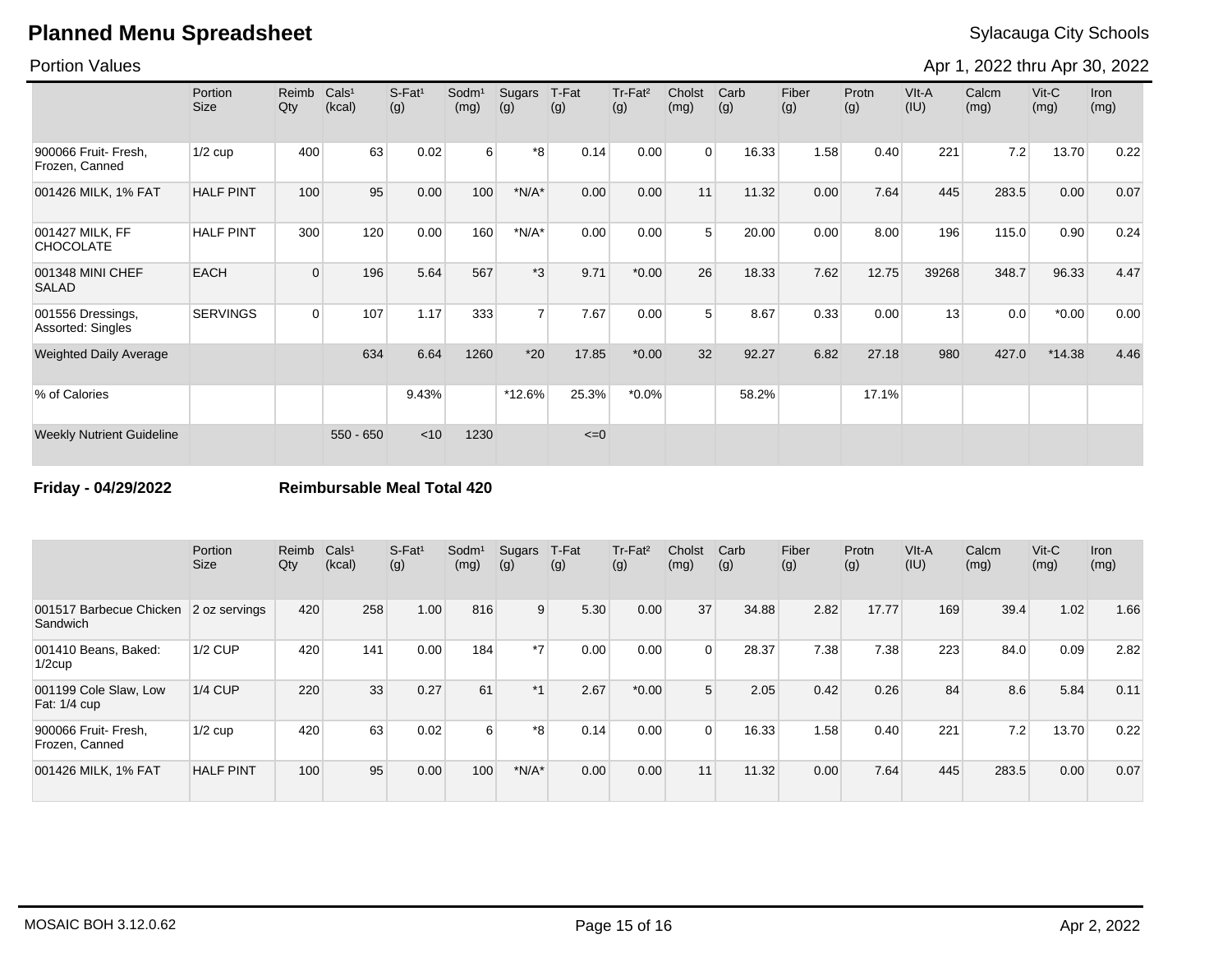### Portion Values

Apr 1, 2022 thru Apr 30, 2022

|                                        | Portion<br><b>Size</b> | Reimb<br>Qty | Cals <sup>1</sup><br>(kcal) | $S-Fat1$<br>(g) | Sodm <sup>1</sup><br>(mg) | Sugars<br>(g)  | T-Fat<br>(g) | Tr-Fat <sup>2</sup><br>(g) | Cholst<br>(mg) | Carb<br>(g) | Fiber<br>(g) | Protn<br>(g) | VIt-A<br>(IU) | Calcm<br>(mg) | $V$ it-C<br>(mg) | Iron<br>(mg) |
|----------------------------------------|------------------------|--------------|-----------------------------|-----------------|---------------------------|----------------|--------------|----------------------------|----------------|-------------|--------------|--------------|---------------|---------------|------------------|--------------|
| 900066 Fruit- Fresh,<br>Frozen, Canned | $1/2$ cup              | 400          | 63                          | 0.02            | $6 \overline{6}$          | *8             | 0.14         | 0.00                       | $\Omega$       | 16.33       | 1.58         | 0.40         | 221           | 7.2           | 13.70            | 0.22         |
| 001426 MILK, 1% FAT                    | <b>HALF PINT</b>       | 100          | 95                          | 0.00            | 100                       | $*N/A*$        | 0.00         | 0.00                       | 11             | 11.32       | 0.00         | 7.64         | 445           | 283.5         | 0.00             | 0.07         |
| 001427 MILK, FF<br><b>CHOCOLATE</b>    | <b>HALF PINT</b>       | 300          | 120                         | 0.00            | 160                       | $*N/A*$        | 0.00         | 0.00                       | 5              | 20.00       | 0.00         | 8.00         | 196           | 115.0         | 0.90             | 0.24         |
| 001348 MINI CHEF<br><b>SALAD</b>       | <b>EACH</b>            | $\Omega$     | 196                         | 5.64            | 567                       | $*3$           | 9.71         | $*0.00$                    | 26             | 18.33       | 7.62         | 12.75        | 39268         | 348.7         | 96.33            | 4.47         |
| 001556 Dressings,<br>Assorted: Singles | <b>SERVINGS</b>        | $\Omega$     | 107                         | 1.17            | 333                       | 7 <sup>1</sup> | 7.67         | 0.00                       | 5 <sup>5</sup> | 8.67        | 0.33         | 0.00         | 13            | 0.0           | $*0.00$          | 0.00         |
| <b>Weighted Daily Average</b>          |                        |              | 634                         | 6.64            | 1260                      | $*20$          | 17.85        | $*0.00$                    | 32             | 92.27       | 6.82         | 27.18        | 980           | 427.0         | $*14.38$         | 4.46         |
| % of Calories                          |                        |              |                             | 9.43%           |                           | *12.6%         | 25.3%        | $*0.0\%$                   |                | 58.2%       |              | 17.1%        |               |               |                  |              |
| <b>Weekly Nutrient Guideline</b>       |                        |              | $550 - 650$                 | < 10            | 1230                      |                | $\leq=0$     |                            |                |             |              |              |               |               |                  |              |

**Friday - 04/29/2022 Reimbursable Meal Total 420**

|                                        | Portion<br><b>Size</b> | Reimb<br>Qty | Cals <sup>1</sup><br>(kcal) | S-Fat <sup>1</sup><br>(g) | Sodm <sup>1</sup><br>(mg) | Sugars<br>(g) | T-Fat<br>(g) | Tr-Fat <sup>2</sup><br>(g) | Cholst<br>(mg) | Carb<br>(g) | Fiber<br>(g) | Protn<br>(g) | VIt-A<br>(IU) | Calcm<br>(mg) | $V$ it-C<br>(mg) | <b>Iron</b><br>(mg) |
|----------------------------------------|------------------------|--------------|-----------------------------|---------------------------|---------------------------|---------------|--------------|----------------------------|----------------|-------------|--------------|--------------|---------------|---------------|------------------|---------------------|
| 001517 Barbecue Chicken<br>Sandwich    | 2 oz servings          | 420          | 258                         | 1.00                      | 816                       | 9             | 5.30         | 0.00                       | 37             | 34.88       | 2.82         | 17.77        | 169           | 39.4          | 1.02             | 1.66                |
| 001410 Beans, Baked:<br>$1/2$ cup      | $1/2$ CUP              | 420          | 141                         | 0.00                      | 184                       | $*7$          | 0.00         | 0.00                       | $\Omega$       | 28.37       | 7.38         | 7.38         | 223           | 84.0          | 0.09             | 2.82                |
| 001199 Cole Slaw, Low<br>Fat: 1/4 cup  | <b>1/4 CUP</b>         | 220          | 33                          | 0.27                      | 61                        | $*1$          | 2.67         | $*0.00$                    | 5              | 2.05        | 0.42         | 0.26         | 84            | 8.6           | 5.84             | 0.11                |
| 900066 Fruit- Fresh,<br>Frozen, Canned | $1/2$ cup              | 420          | 63                          | 0.02                      | $6 \mid$                  | *8            | 0.14         | 0.00                       | $\Omega$       | 16.33       | 1.58         | 0.40         | 221           | 7.2           | 13.70            | 0.22                |
| 001426 MILK, 1% FAT                    | <b>HALF PINT</b>       | 100          | 95                          | 0.00                      | 100                       | $*N/A*$       | 0.00         | 0.00                       | 11             | 11.32       | 0.00         | 7.64         | 445           | 283.5         | 0.00             | 0.07                |